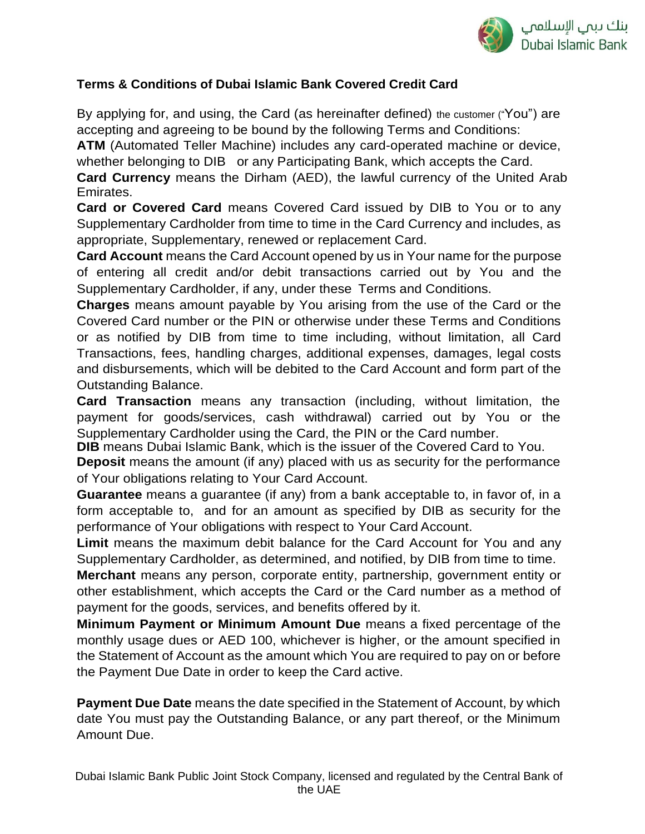

# **Terms & Conditions of Dubai Islamic Bank Covered Credit Card**

By applying for, and using, the Card (as hereinafter defined) the customer ("You") are accepting and agreeing to be bound by the following Terms and Conditions:

**ATM** (Automated Teller Machine) includes any card-operated machine or device,

whether belonging to DIB or any Participating Bank, which accepts the Card.

**Card Currency** means the Dirham (AED), the lawful currency of the United Arab Emirates.

**Card or Covered Card** means Covered Card issued by DIB to You or to any Supplementary Cardholder from time to time in the Card Currency and includes, as appropriate, Supplementary, renewed or replacement Card.

**Card Account** means the Card Account opened by us in Your name for the purpose of entering all credit and/or debit transactions carried out by You and the Supplementary Cardholder, if any, under these Terms and Conditions.

**Charges** means amount payable by You arising from the use of the Card or the Covered Card number or the PIN or otherwise under these Terms and Conditions or as notified by DIB from time to time including, without limitation, all Card Transactions, fees, handling charges, additional expenses, damages, legal costs and disbursements, which will be debited to the Card Account and form part of the Outstanding Balance.

**Card Transaction** means any transaction (including, without limitation, the payment for goods/services, cash withdrawal) carried out by You or the Supplementary Cardholder using the Card, the PIN or the Card number.

**DIB** means Dubai Islamic Bank, which is the issuer of the Covered Card to You.

**Deposit** means the amount (if any) placed with us as security for the performance of Your obligations relating to Your Card Account.

**Guarantee** means a guarantee (if any) from a bank acceptable to, in favor of, in a form acceptable to, and for an amount as specified by DIB as security for the performance of Your obligations with respect to Your Card Account.

**Limit** means the maximum debit balance for the Card Account for You and any Supplementary Cardholder, as determined, and notified, by DIB from time to time.

**Merchant** means any person, corporate entity, partnership, government entity or other establishment, which accepts the Card or the Card number as a method of payment for the goods, services, and benefits offered by it.

**Minimum Payment or Minimum Amount Due** means a fixed percentage of the monthly usage dues or AED 100, whichever is higher, or the amount specified in the Statement of Account as the amount which You are required to pay on or before the Payment Due Date in order to keep the Card active.

**Payment Due Date** means the date specified in the Statement of Account, by which date You must pay the Outstanding Balance, or any part thereof, or the Minimum Amount Due.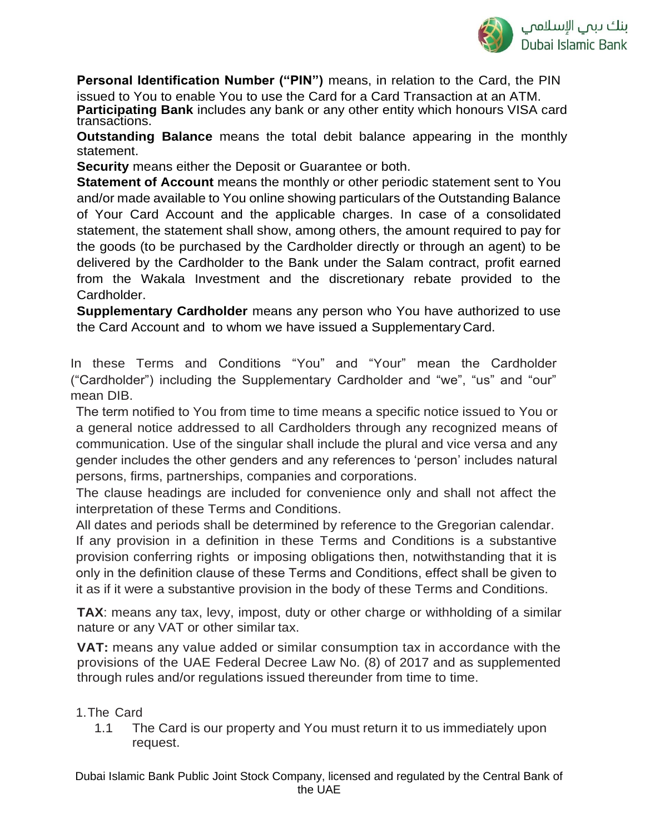

**Personal Identification Number ("PIN")** means, in relation to the Card, the PIN issued to You to enable You to use the Card for a Card Transaction at an ATM.

**Participating Bank** includes any bank or any other entity which honours VISA card transactions.

**Outstanding Balance** means the total debit balance appearing in the monthly statement.

**Security** means either the Deposit or Guarantee or both.

**Statement of Account** means the monthly or other periodic statement sent to You and/or made available to You online showing particulars of the Outstanding Balance of Your Card Account and the applicable charges. In case of a consolidated statement, the statement shall show, among others, the amount required to pay for the goods (to be purchased by the Cardholder directly or through an agent) to be delivered by the Cardholder to the Bank under the Salam contract, profit earned from the Wakala Investment and the discretionary rebate provided to the Cardholder.

**Supplementary Cardholder** means any person who You have authorized to use the Card Account and to whom we have issued a Supplementary Card.

In these Terms and Conditions "You" and "Your" mean the Cardholder ("Cardholder") including the Supplementary Cardholder and "we", "us" and "our" mean DIB.

The term notified to You from time to time means a specific notice issued to You or a general notice addressed to all Cardholders through any recognized means of communication. Use of the singular shall include the plural and vice versa and any gender includes the other genders and any references to 'person' includes natural persons, firms, partnerships, companies and corporations.

The clause headings are included for convenience only and shall not affect the interpretation of these Terms and Conditions.

All dates and periods shall be determined by reference to the Gregorian calendar. If any provision in a definition in these Terms and Conditions is a substantive provision conferring rights or imposing obligations then, notwithstanding that it is only in the definition clause of these Terms and Conditions, effect shall be given to it as if it were a substantive provision in the body of these Terms and Conditions.

**TAX**: means any tax, levy, impost, duty or other charge or withholding of a similar nature or any VAT or other similar tax.

**VAT:** means any value added or similar consumption tax in accordance with the provisions of the UAE Federal Decree Law No. (8) of 2017 and as supplemented through rules and/or regulations issued thereunder from time to time.

### 1.The Card

1.1 The Card is our property and You must return it to us immediately upon request.

Dubai Islamic Bank Public Joint Stock Company, licensed and regulated by the Central Bank of the UAE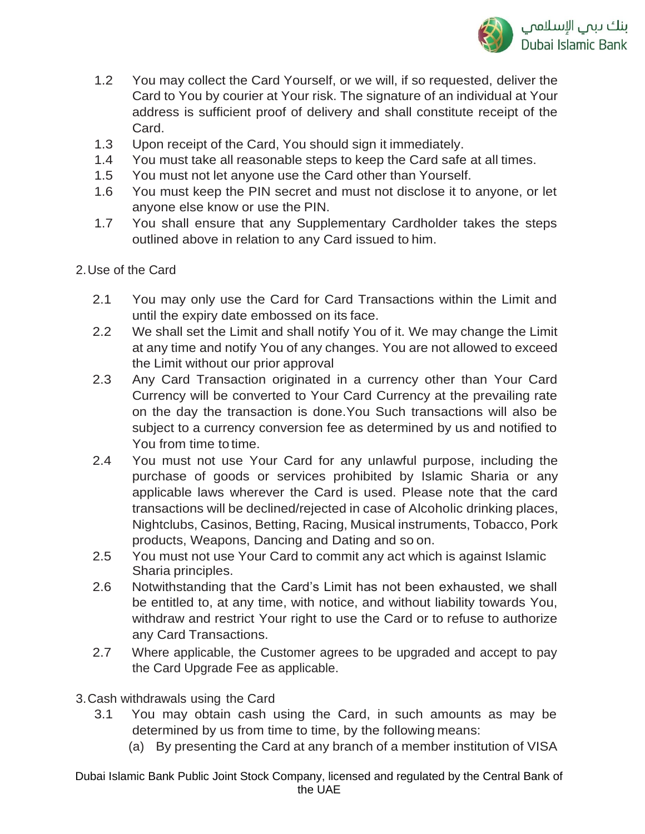

- 1.2 You may collect the Card Yourself, or we will, if so requested, deliver the Card to You by courier at Your risk. The signature of an individual at Your address is sufficient proof of delivery and shall constitute receipt of the Card.
- 1.3 Upon receipt of the Card, You should sign it immediately.
- 1.4 You must take all reasonable steps to keep the Card safe at all times.
- 1.5 You must not let anyone use the Card other than Yourself.
- 1.6 You must keep the PIN secret and must not disclose it to anyone, or let anyone else know or use the PIN.
- 1.7 You shall ensure that any Supplementary Cardholder takes the steps outlined above in relation to any Card issued to him.
- 2.Use of the Card
	- 2.1 You may only use the Card for Card Transactions within the Limit and until the expiry date embossed on its face.
	- 2.2 We shall set the Limit and shall notify You of it. We may change the Limit at any time and notify You of any changes. You are not allowed to exceed the Limit without our prior approval
	- 2.3 Any Card Transaction originated in a currency other than Your Card Currency will be converted to Your Card Currency at the prevailing rate on the day the transaction is done.You Such transactions will also be subject to a currency conversion fee as determined by us and notified to You from time to time.
	- 2.4 You must not use Your Card for any unlawful purpose, including the purchase of goods or services prohibited by Islamic Sharia or any applicable laws wherever the Card is used. Please note that the card transactions will be declined/rejected in case of Alcoholic drinking places, Nightclubs, Casinos, Betting, Racing, Musical instruments, Tobacco, Pork products, Weapons, Dancing and Dating and so on.
	- 2.5 You must not use Your Card to commit any act which is against Islamic Sharia principles.
	- 2.6 Notwithstanding that the Card's Limit has not been exhausted, we shall be entitled to, at any time, with notice, and without liability towards You, withdraw and restrict Your right to use the Card or to refuse to authorize any Card Transactions.
	- 2.7 Where applicable, the Customer agrees to be upgraded and accept to pay the Card Upgrade Fee as applicable.
- 3.Cash withdrawals using the Card
	- 3.1 You may obtain cash using the Card, in such amounts as may be determined by us from time to time, by the following means:
		- (a) By presenting the Card at any branch of a member institution of VISA

Dubai Islamic Bank Public Joint Stock Company, licensed and regulated by the Central Bank of the UAE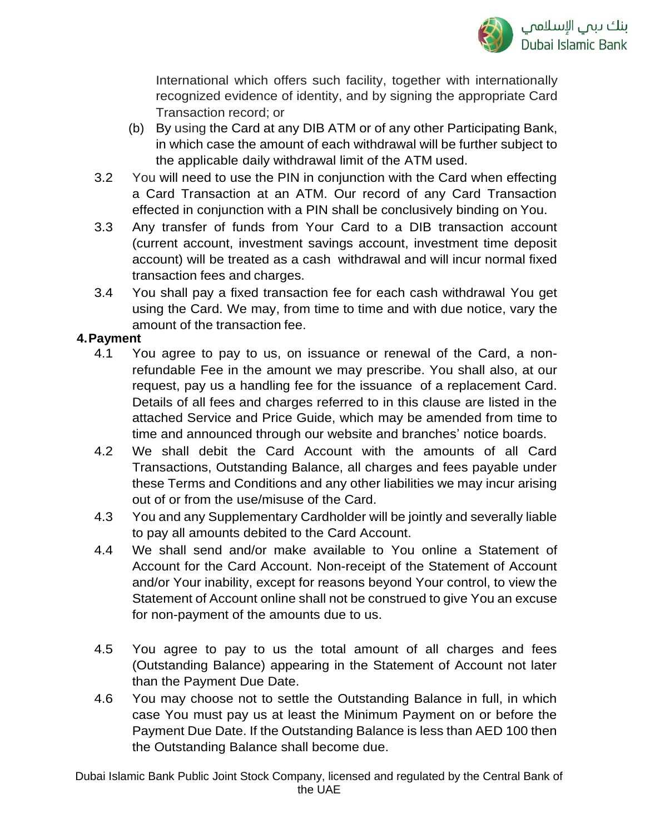

International which offers such facility, together with internationally recognized evidence of identity, and by signing the appropriate Card Transaction record; or

- (b) By using the Card at any DIB ATM or of any other Participating Bank, in which case the amount of each withdrawal will be further subject to the applicable daily withdrawal limit of the ATM used.
- 3.2 You will need to use the PIN in conjunction with the Card when effecting a Card Transaction at an ATM. Our record of any Card Transaction effected in conjunction with a PIN shall be conclusively binding on You.
- 3.3 Any transfer of funds from Your Card to a DIB transaction account (current account, investment savings account, investment time deposit account) will be treated as a cash withdrawal and will incur normal fixed transaction fees and charges.
- 3.4 You shall pay a fixed transaction fee for each cash withdrawal You get using the Card. We may, from time to time and with due notice, vary the amount of the transaction fee.

### **4.Payment**

- 4.1 You agree to pay to us, on issuance or renewal of the Card, a nonrefundable Fee in the amount we may prescribe. You shall also, at our request, pay us a handling fee for the issuance of a replacement Card. Details of all fees and charges referred to in this clause are listed in the attached Service and Price Guide, which may be amended from time to time and announced through our website and branches' notice boards.
- 4.2 We shall debit the Card Account with the amounts of all Card Transactions, Outstanding Balance, all charges and fees payable under these Terms and Conditions and any other liabilities we may incur arising out of or from the use/misuse of the Card.
- 4.3 You and any Supplementary Cardholder will be jointly and severally liable to pay all amounts debited to the Card Account.
- 4.4 We shall send and/or make available to You online a Statement of Account for the Card Account. Non-receipt of the Statement of Account and/or Your inability, except for reasons beyond Your control, to view the Statement of Account online shall not be construed to give You an excuse for non-payment of the amounts due to us.
- 4.5 You agree to pay to us the total amount of all charges and fees (Outstanding Balance) appearing in the Statement of Account not later than the Payment Due Date.
- 4.6 You may choose not to settle the Outstanding Balance in full, in which case You must pay us at least the Minimum Payment on or before the Payment Due Date. If the Outstanding Balance is less than AED 100 then the Outstanding Balance shall become due.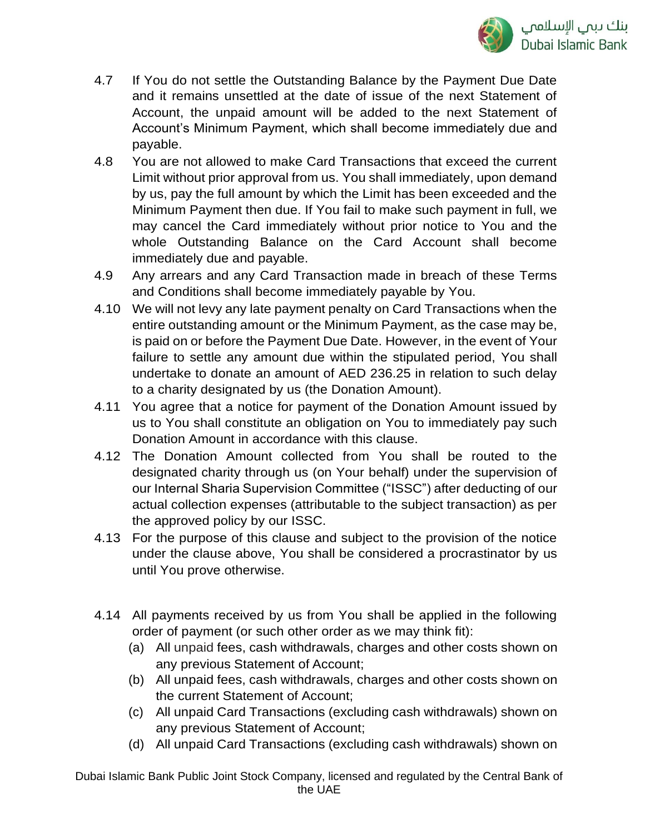

- 4.7 If You do not settle the Outstanding Balance by the Payment Due Date and it remains unsettled at the date of issue of the next Statement of Account, the unpaid amount will be added to the next Statement of Account's Minimum Payment, which shall become immediately due and payable.
- 4.8 You are not allowed to make Card Transactions that exceed the current Limit without prior approval from us. You shall immediately, upon demand by us, pay the full amount by which the Limit has been exceeded and the Minimum Payment then due. If You fail to make such payment in full, we may cancel the Card immediately without prior notice to You and the whole Outstanding Balance on the Card Account shall become immediately due and payable.
- 4.9 Any arrears and any Card Transaction made in breach of these Terms and Conditions shall become immediately payable by You.
- 4.10 We will not levy any late payment penalty on Card Transactions when the entire outstanding amount or the Minimum Payment, as the case may be, is paid on or before the Payment Due Date. However, in the event of Your failure to settle any amount due within the stipulated period, You shall undertake to donate an amount of AED 236.25 in relation to such delay to a charity designated by us (the Donation Amount).
- 4.11 You agree that a notice for payment of the Donation Amount issued by us to You shall constitute an obligation on You to immediately pay such Donation Amount in accordance with this clause.
- 4.12 The Donation Amount collected from You shall be routed to the designated charity through us (on Your behalf) under the supervision of our Internal Sharia Supervision Committee ("ISSC") after deducting of our actual collection expenses (attributable to the subject transaction) as per the approved policy by our ISSC.
- 4.13 For the purpose of this clause and subject to the provision of the notice under the clause above, You shall be considered a procrastinator by us until You prove otherwise.
- 4.14 All payments received by us from You shall be applied in the following order of payment (or such other order as we may think fit):
	- (a) All unpaid fees, cash withdrawals, charges and other costs shown on any previous Statement of Account;
	- (b) All unpaid fees, cash withdrawals, charges and other costs shown on the current Statement of Account;
	- (c) All unpaid Card Transactions (excluding cash withdrawals) shown on any previous Statement of Account;
	- (d) All unpaid Card Transactions (excluding cash withdrawals) shown on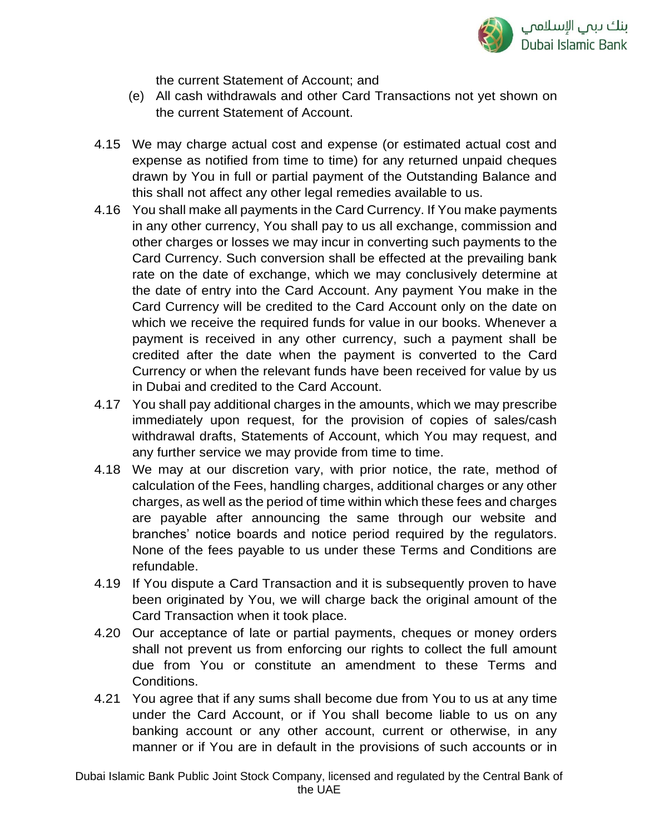

the current Statement of Account; and

- (e) All cash withdrawals and other Card Transactions not yet shown on the current Statement of Account.
- 4.15 We may charge actual cost and expense (or estimated actual cost and expense as notified from time to time) for any returned unpaid cheques drawn by You in full or partial payment of the Outstanding Balance and this shall not affect any other legal remedies available to us.
- 4.16 You shall make all payments in the Card Currency. If You make payments in any other currency, You shall pay to us all exchange, commission and other charges or losses we may incur in converting such payments to the Card Currency. Such conversion shall be effected at the prevailing bank rate on the date of exchange, which we may conclusively determine at the date of entry into the Card Account. Any payment You make in the Card Currency will be credited to the Card Account only on the date on which we receive the required funds for value in our books. Whenever a payment is received in any other currency, such a payment shall be credited after the date when the payment is converted to the Card Currency or when the relevant funds have been received for value by us in Dubai and credited to the Card Account.
- 4.17 You shall pay additional charges in the amounts, which we may prescribe immediately upon request, for the provision of copies of sales/cash withdrawal drafts, Statements of Account, which You may request, and any further service we may provide from time to time.
- 4.18 We may at our discretion vary, with prior notice, the rate, method of calculation of the Fees, handling charges, additional charges or any other charges, as well as the period of time within which these fees and charges are payable after announcing the same through our website and branches' notice boards and notice period required by the regulators. None of the fees payable to us under these Terms and Conditions are refundable.
- 4.19 If You dispute a Card Transaction and it is subsequently proven to have been originated by You, we will charge back the original amount of the Card Transaction when it took place.
- 4.20 Our acceptance of late or partial payments, cheques or money orders shall not prevent us from enforcing our rights to collect the full amount due from You or constitute an amendment to these Terms and Conditions.
- 4.21 You agree that if any sums shall become due from You to us at any time under the Card Account, or if You shall become liable to us on any banking account or any other account, current or otherwise, in any manner or if You are in default in the provisions of such accounts or in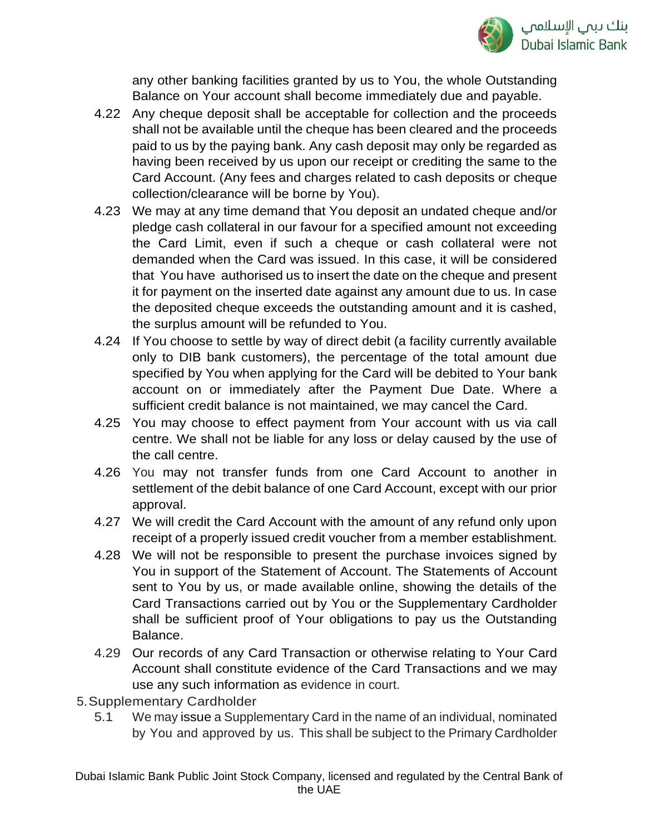

any other banking facilities granted by us to You, the whole Outstanding Balance on Your account shall become immediately due and payable.

- 4.22 Any cheque deposit shall be acceptable for collection and the proceeds shall not be available until the cheque has been cleared and the proceeds paid to us by the paying bank. Any cash deposit may only be regarded as having been received by us upon our receipt or crediting the same to the Card Account. (Any fees and charges related to cash deposits or cheque collection/clearance will be borne by You).
- 4.23 We may at any time demand that You deposit an undated cheque and/or pledge cash collateral in our favour for a specified amount not exceeding the Card Limit, even if such a cheque or cash collateral were not demanded when the Card was issued. In this case, it will be considered that You have authorised us to insert the date on the cheque and present it for payment on the inserted date against any amount due to us. In case the deposited cheque exceeds the outstanding amount and it is cashed, the surplus amount will be refunded to You.
- 4.24 If You choose to settle by way of direct debit (a facility currently available only to DIB bank customers), the percentage of the total amount due specified by You when applying for the Card will be debited to Your bank account on or immediately after the Payment Due Date. Where a sufficient credit balance is not maintained, we may cancel the Card.
- 4.25 You may choose to effect payment from Your account with us via call centre. We shall not be liable for any loss or delay caused by the use of the call centre.
- 4.26 You may not transfer funds from one Card Account to another in settlement of the debit balance of one Card Account, except with our prior approval.
- 4.27 We will credit the Card Account with the amount of any refund only upon receipt of a properly issued credit voucher from a member establishment.
- 4.28 We will not be responsible to present the purchase invoices signed by You in support of the Statement of Account. The Statements of Account sent to You by us, or made available online, showing the details of the Card Transactions carried out by You or the Supplementary Cardholder shall be sufficient proof of Your obligations to pay us the Outstanding Balance.
- 4.29 Our records of any Card Transaction or otherwise relating to Your Card Account shall constitute evidence of the Card Transactions and we may use any such information as evidence in court.
- 5.Supplementary Cardholder
	- 5.1 We may issue a Supplementary Card in the name of an individual, nominated by You and approved by us. This shall be subject to the Primary Cardholder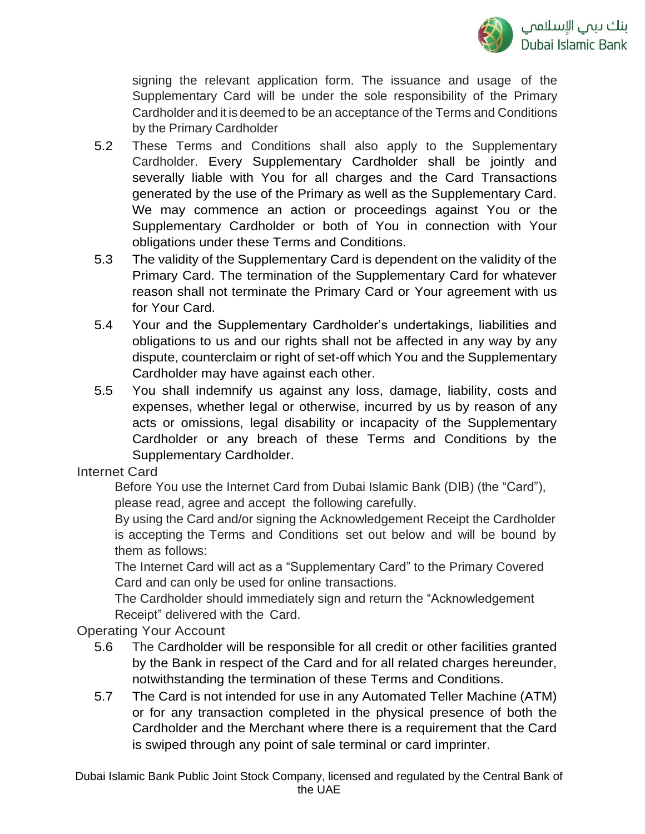

signing the relevant application form. The issuance and usage of the Supplementary Card will be under the sole responsibility of the Primary Cardholder and it is deemed to be an acceptance of the Terms and Conditions by the Primary Cardholder

- 5.2 These Terms and Conditions shall also apply to the Supplementary Cardholder. Every Supplementary Cardholder shall be jointly and severally liable with You for all charges and the Card Transactions generated by the use of the Primary as well as the Supplementary Card. We may commence an action or proceedings against You or the Supplementary Cardholder or both of You in connection with Your obligations under these Terms and Conditions.
- 5.3 The validity of the Supplementary Card is dependent on the validity of the Primary Card. The termination of the Supplementary Card for whatever reason shall not terminate the Primary Card or Your agreement with us for Your Card.
- 5.4 Your and the Supplementary Cardholder's undertakings, liabilities and obligations to us and our rights shall not be affected in any way by any dispute, counterclaim or right of set-off which You and the Supplementary Cardholder may have against each other.
- 5.5 You shall indemnify us against any loss, damage, liability, costs and expenses, whether legal or otherwise, incurred by us by reason of any acts or omissions, legal disability or incapacity of the Supplementary Cardholder or any breach of these Terms and Conditions by the Supplementary Cardholder.

Internet Card

Before You use the Internet Card from Dubai Islamic Bank (DIB) (the "Card"), please read, agree and accept the following carefully.

By using the Card and/or signing the Acknowledgement Receipt the Cardholder is accepting the Terms and Conditions set out below and will be bound by them as follows:

The Internet Card will act as a "Supplementary Card" to the Primary Covered Card and can only be used for online transactions.

The Cardholder should immediately sign and return the "Acknowledgement Receipt" delivered with the Card.

Operating Your Account

- 5.6 The Cardholder will be responsible for all credit or other facilities granted by the Bank in respect of the Card and for all related charges hereunder, notwithstanding the termination of these Terms and Conditions.
- 5.7 The Card is not intended for use in any Automated Teller Machine (ATM) or for any transaction completed in the physical presence of both the Cardholder and the Merchant where there is a requirement that the Card is swiped through any point of sale terminal or card imprinter.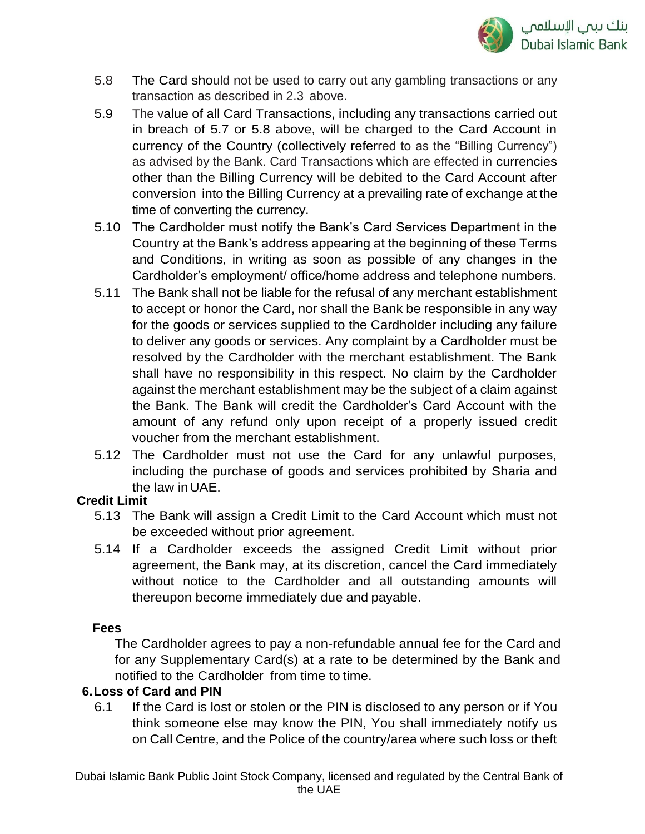

- 5.8 The Card should not be used to carry out any gambling transactions or any transaction as described in 2.3 above.
- 5.9 The value of all Card Transactions, including any transactions carried out in breach of 5.7 or 5.8 above, will be charged to the Card Account in currency of the Country (collectively referred to as the "Billing Currency") as advised by the Bank. Card Transactions which are effected in currencies other than the Billing Currency will be debited to the Card Account after conversion into the Billing Currency at a prevailing rate of exchange at the time of converting the currency.
- 5.10 The Cardholder must notify the Bank's Card Services Department in the Country at the Bank's address appearing at the beginning of these Terms and Conditions, in writing as soon as possible of any changes in the Cardholder's employment/ office/home address and telephone numbers.
- 5.11 The Bank shall not be liable for the refusal of any merchant establishment to accept or honor the Card, nor shall the Bank be responsible in any way for the goods or services supplied to the Cardholder including any failure to deliver any goods or services. Any complaint by a Cardholder must be resolved by the Cardholder with the merchant establishment. The Bank shall have no responsibility in this respect. No claim by the Cardholder against the merchant establishment may be the subject of a claim against the Bank. The Bank will credit the Cardholder's Card Account with the amount of any refund only upon receipt of a properly issued credit voucher from the merchant establishment.
- 5.12 The Cardholder must not use the Card for any unlawful purposes, including the purchase of goods and services prohibited by Sharia and the law inUAE.

### **Credit Limit**

- 5.13 The Bank will assign a Credit Limit to the Card Account which must not be exceeded without prior agreement.
- 5.14 If a Cardholder exceeds the assigned Credit Limit without prior agreement, the Bank may, at its discretion, cancel the Card immediately without notice to the Cardholder and all outstanding amounts will thereupon become immediately due and payable.

### **Fees**

The Cardholder agrees to pay a non-refundable annual fee for the Card and for any Supplementary Card(s) at a rate to be determined by the Bank and notified to the Cardholder from time to time.

### **6.Loss of Card and PIN**

6.1 If the Card is lost or stolen or the PIN is disclosed to any person or if You think someone else may know the PIN, You shall immediately notify us on Call Centre, and the Police of the country/area where such loss or theft

Dubai Islamic Bank Public Joint Stock Company, licensed and regulated by the Central Bank of the UAE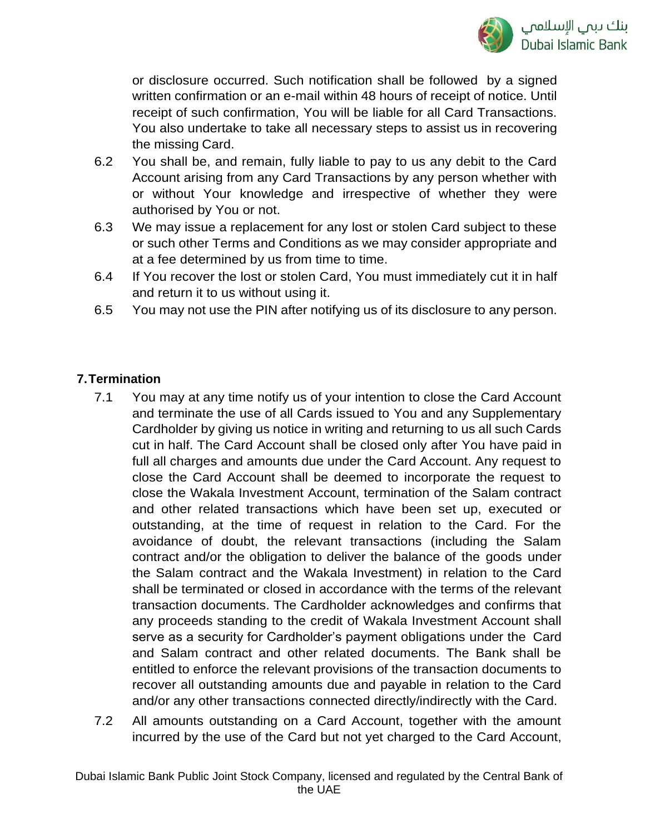

or disclosure occurred. Such notification shall be followed by a signed written confirmation or an e-mail within 48 hours of receipt of notice. Until receipt of such confirmation, You will be liable for all Card Transactions. You also undertake to take all necessary steps to assist us in recovering the missing Card.

- 6.2 You shall be, and remain, fully liable to pay to us any debit to the Card Account arising from any Card Transactions by any person whether with or without Your knowledge and irrespective of whether they were authorised by You or not.
- 6.3 We may issue a replacement for any lost or stolen Card subject to these or such other Terms and Conditions as we may consider appropriate and at a fee determined by us from time to time.
- 6.4 If You recover the lost or stolen Card, You must immediately cut it in half and return it to us without using it.
- 6.5 You may not use the PIN after notifying us of its disclosure to any person.

## **7.Termination**

- 7.1 You may at any time notify us of your intention to close the Card Account and terminate the use of all Cards issued to You and any Supplementary Cardholder by giving us notice in writing and returning to us all such Cards cut in half. The Card Account shall be closed only after You have paid in full all charges and amounts due under the Card Account. Any request to close the Card Account shall be deemed to incorporate the request to close the Wakala Investment Account, termination of the Salam contract and other related transactions which have been set up, executed or outstanding, at the time of request in relation to the Card. For the avoidance of doubt, the relevant transactions (including the Salam contract and/or the obligation to deliver the balance of the goods under the Salam contract and the Wakala Investment) in relation to the Card shall be terminated or closed in accordance with the terms of the relevant transaction documents. The Cardholder acknowledges and confirms that any proceeds standing to the credit of Wakala Investment Account shall serve as a security for Cardholder's payment obligations under the Card and Salam contract and other related documents. The Bank shall be entitled to enforce the relevant provisions of the transaction documents to recover all outstanding amounts due and payable in relation to the Card and/or any other transactions connected directly/indirectly with the Card.
- 7.2 All amounts outstanding on a Card Account, together with the amount incurred by the use of the Card but not yet charged to the Card Account,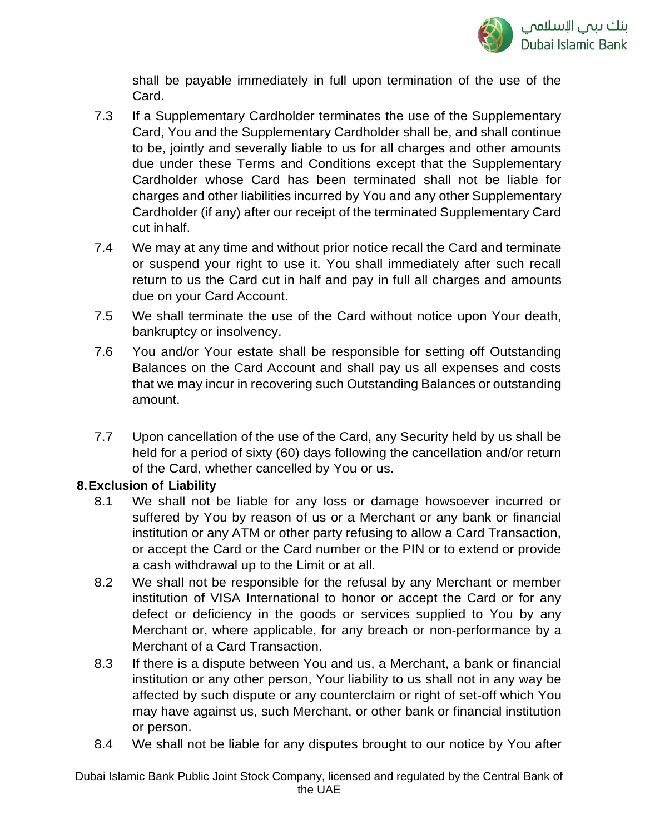

shall be payable immediately in full upon termination of the use of the Card.

- 7.3 If a Supplementary Cardholder terminates the use of the Supplementary Card, You and the Supplementary Cardholder shall be, and shall continue to be, jointly and severally liable to us for all charges and other amounts due under these Terms and Conditions except that the Supplementary Cardholder whose Card has been terminated shall not be liable for charges and other liabilities incurred by You and any other Supplementary Cardholder (if any) after our receipt of the terminated Supplementary Card cut inhalf.
- 7.4 We may at any time and without prior notice recall the Card and terminate or suspend your right to use it. You shall immediately after such recall return to us the Card cut in half and pay in full all charges and amounts due on your Card Account.
- 7.5 We shall terminate the use of the Card without notice upon Your death, bankruptcy or insolvency.
- 7.6 You and/or Your estate shall be responsible for setting off Outstanding Balances on the Card Account and shall pay us all expenses and costs that we may incur in recovering such Outstanding Balances or outstanding amount.
- 7.7 Upon cancellation of the use of the Card, any Security held by us shall be held for a period of sixty (60) days following the cancellation and/or return of the Card, whether cancelled by You or us.

## **8.Exclusion of Liability**

- 8.1 We shall not be liable for any loss or damage howsoever incurred or suffered by You by reason of us or a Merchant or any bank or financial institution or any ATM or other party refusing to allow a Card Transaction, or accept the Card or the Card number or the PIN or to extend or provide a cash withdrawal up to the Limit or at all.
- 8.2 We shall not be responsible for the refusal by any Merchant or member institution of VISA International to honor or accept the Card or for any defect or deficiency in the goods or services supplied to You by any Merchant or, where applicable, for any breach or non-performance by a Merchant of a Card Transaction.
- 8.3 If there is a dispute between You and us, a Merchant, a bank or financial institution or any other person, Your liability to us shall not in any way be affected by such dispute or any counterclaim or right of set-off which You may have against us, such Merchant, or other bank or financial institution or person.
- 8.4 We shall not be liable for any disputes brought to our notice by You after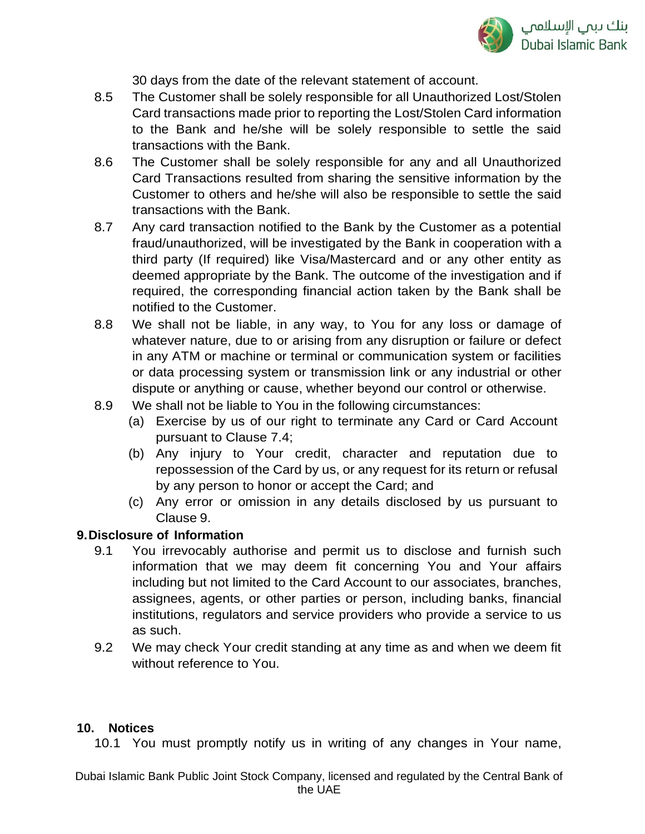

30 days from the date of the relevant statement of account.

- 8.5 The Customer shall be solely responsible for all Unauthorized Lost/Stolen Card transactions made prior to reporting the Lost/Stolen Card information to the Bank and he/she will be solely responsible to settle the said transactions with the Bank.
- 8.6 The Customer shall be solely responsible for any and all Unauthorized Card Transactions resulted from sharing the sensitive information by the Customer to others and he/she will also be responsible to settle the said transactions with the Bank.
- 8.7 Any card transaction notified to the Bank by the Customer as a potential fraud/unauthorized, will be investigated by the Bank in cooperation with a third party (If required) like Visa/Mastercard and or any other entity as deemed appropriate by the Bank. The outcome of the investigation and if required, the corresponding financial action taken by the Bank shall be notified to the Customer.
- 8.8 We shall not be liable, in any way, to You for any loss or damage of whatever nature, due to or arising from any disruption or failure or defect in any ATM or machine or terminal or communication system or facilities or data processing system or transmission link or any industrial or other dispute or anything or cause, whether beyond our control or otherwise.
- 8.9 We shall not be liable to You in the following circumstances:
	- (a) Exercise by us of our right to terminate any Card or Card Account pursuant to Clause 7.4;
	- (b) Any injury to Your credit, character and reputation due to repossession of the Card by us, or any request for its return or refusal by any person to honor or accept the Card; and
	- (c) Any error or omission in any details disclosed by us pursuant to Clause 9.

### **9.Disclosure of Information**

- 9.1 You irrevocably authorise and permit us to disclose and furnish such information that we may deem fit concerning You and Your affairs including but not limited to the Card Account to our associates, branches, assignees, agents, or other parties or person, including banks, financial institutions, regulators and service providers who provide a service to us as such.
- 9.2 We may check Your credit standing at any time as and when we deem fit without reference to You.

### **10. Notices**

10.1 You must promptly notify us in writing of any changes in Your name,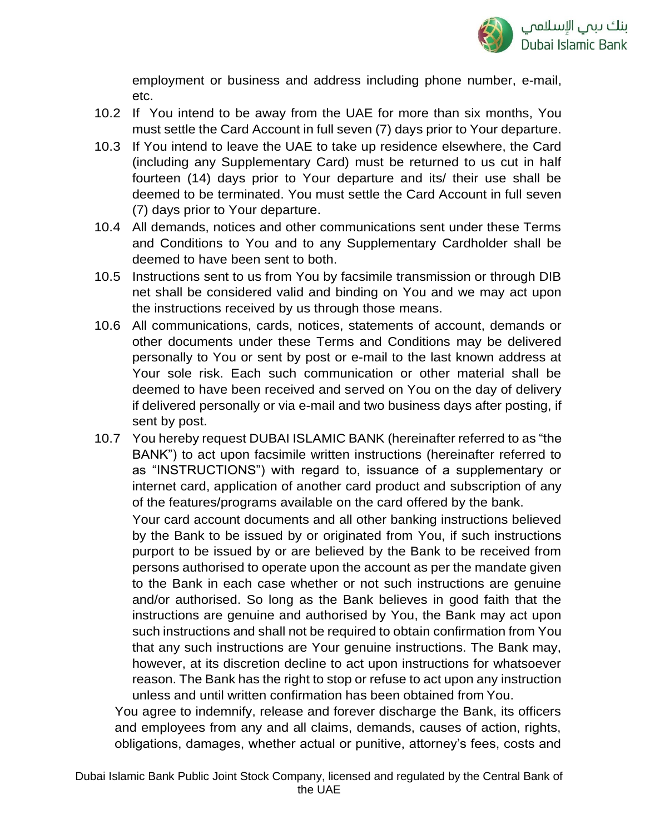

employment or business and address including phone number, e-mail, etc.

- 10.2 If You intend to be away from the UAE for more than six months, You must settle the Card Account in full seven (7) days prior to Your departure.
- 10.3 If You intend to leave the UAE to take up residence elsewhere, the Card (including any Supplementary Card) must be returned to us cut in half fourteen (14) days prior to Your departure and its/ their use shall be deemed to be terminated. You must settle the Card Account in full seven (7) days prior to Your departure.
- 10.4 All demands, notices and other communications sent under these Terms and Conditions to You and to any Supplementary Cardholder shall be deemed to have been sent to both.
- 10.5 Instructions sent to us from You by facsimile transmission or through DIB net shall be considered valid and binding on You and we may act upon the instructions received by us through those means.
- 10.6 All communications, cards, notices, statements of account, demands or other documents under these Terms and Conditions may be delivered personally to You or sent by post or e-mail to the last known address at Your sole risk. Each such communication or other material shall be deemed to have been received and served on You on the day of delivery if delivered personally or via e-mail and two business days after posting, if sent by post.
- 10.7 You hereby request DUBAI ISLAMIC BANK (hereinafter referred to as "the BANK") to act upon facsimile written instructions (hereinafter referred to as "INSTRUCTIONS") with regard to, issuance of a supplementary or internet card, application of another card product and subscription of any of the features/programs available on the card offered by the bank. Your card account documents and all other banking instructions believed

by the Bank to be issued by or originated from You, if such instructions purport to be issued by or are believed by the Bank to be received from persons authorised to operate upon the account as per the mandate given to the Bank in each case whether or not such instructions are genuine and/or authorised. So long as the Bank believes in good faith that the instructions are genuine and authorised by You, the Bank may act upon such instructions and shall not be required to obtain confirmation from You that any such instructions are Your genuine instructions. The Bank may, however, at its discretion decline to act upon instructions for whatsoever reason. The Bank has the right to stop or refuse to act upon any instruction unless and until written confirmation has been obtained from You.

You agree to indemnify, release and forever discharge the Bank, its officers and employees from any and all claims, demands, causes of action, rights, obligations, damages, whether actual or punitive, attorney's fees, costs and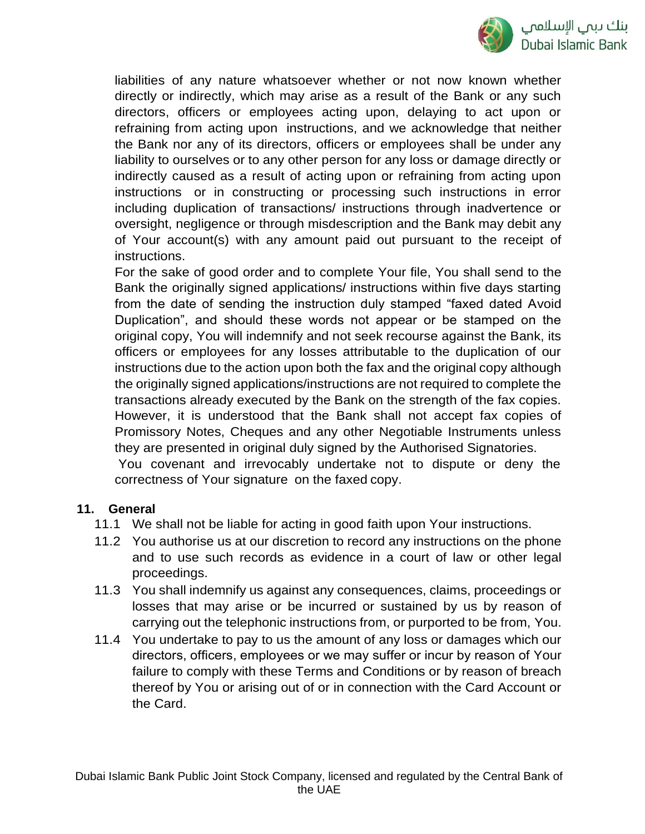

liabilities of any nature whatsoever whether or not now known whether directly or indirectly, which may arise as a result of the Bank or any such directors, officers or employees acting upon, delaying to act upon or refraining from acting upon instructions, and we acknowledge that neither the Bank nor any of its directors, officers or employees shall be under any liability to ourselves or to any other person for any loss or damage directly or indirectly caused as a result of acting upon or refraining from acting upon instructions or in constructing or processing such instructions in error including duplication of transactions/ instructions through inadvertence or oversight, negligence or through misdescription and the Bank may debit any of Your account(s) with any amount paid out pursuant to the receipt of instructions.

For the sake of good order and to complete Your file, You shall send to the Bank the originally signed applications/ instructions within five days starting from the date of sending the instruction duly stamped "faxed dated Avoid Duplication", and should these words not appear or be stamped on the original copy, You will indemnify and not seek recourse against the Bank, its officers or employees for any losses attributable to the duplication of our instructions due to the action upon both the fax and the original copy although the originally signed applications/instructions are not required to complete the transactions already executed by the Bank on the strength of the fax copies. However, it is understood that the Bank shall not accept fax copies of Promissory Notes, Cheques and any other Negotiable Instruments unless they are presented in original duly signed by the Authorised Signatories. You covenant and irrevocably undertake not to dispute or deny the correctness of Your signature on the faxed copy.

#### **11. General**

- 11.1 We shall not be liable for acting in good faith upon Your instructions.
- 11.2 You authorise us at our discretion to record any instructions on the phone and to use such records as evidence in a court of law or other legal proceedings.
- 11.3 You shall indemnify us against any consequences, claims, proceedings or losses that may arise or be incurred or sustained by us by reason of carrying out the telephonic instructions from, or purported to be from, You.
- 11.4 You undertake to pay to us the amount of any loss or damages which our directors, officers, employees or we may suffer or incur by reason of Your failure to comply with these Terms and Conditions or by reason of breach thereof by You or arising out of or in connection with the Card Account or the Card.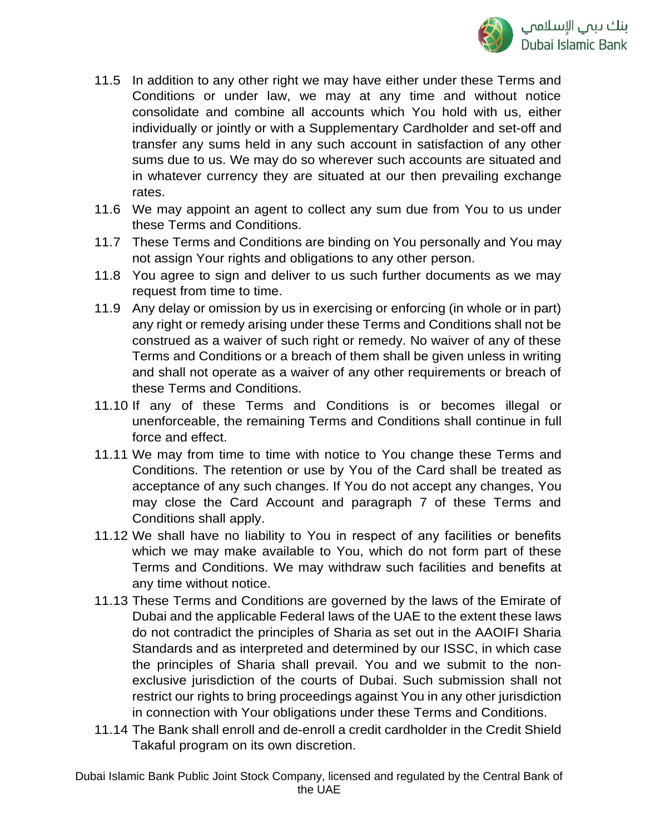

- 11.5 In addition to any other right we may have either under these Terms and Conditions or under law, we may at any time and without notice consolidate and combine all accounts which You hold with us, either individually or jointly or with a Supplementary Cardholder and set-off and transfer any sums held in any such account in satisfaction of any other sums due to us. We may do so wherever such accounts are situated and in whatever currency they are situated at our then prevailing exchange rates.
- 11.6 We may appoint an agent to collect any sum due from You to us under these Terms and Conditions.
- 11.7 These Terms and Conditions are binding on You personally and You may not assign Your rights and obligations to any other person.
- 11.8 You agree to sign and deliver to us such further documents as we may request from time to time.
- 11.9 Any delay or omission by us in exercising or enforcing (in whole or in part) any right or remedy arising under these Terms and Conditions shall not be construed as a waiver of such right or remedy. No waiver of any of these Terms and Conditions or a breach of them shall be given unless in writing and shall not operate as a waiver of any other requirements or breach of these Terms and Conditions.
- 11.10 If any of these Terms and Conditions is or becomes illegal or unenforceable, the remaining Terms and Conditions shall continue in full force and effect.
- 11.11 We may from time to time with notice to You change these Terms and Conditions. The retention or use by You of the Card shall be treated as acceptance of any such changes. If You do not accept any changes, You may close the Card Account and paragraph 7 of these Terms and Conditions shall apply.
- 11.12 We shall have no liability to You in respect of any facilities or benefits which we may make available to You, which do not form part of these Terms and Conditions. We may withdraw such facilities and benefits at any time without notice.
- 11.13 These Terms and Conditions are governed by the laws of the Emirate of Dubai and the applicable Federal laws of the UAE to the extent these laws do not contradict the principles of Sharia as set out in the AAOIFI Sharia Standards and as interpreted and determined by our ISSC, in which case the principles of Sharia shall prevail. You and we submit to the nonexclusive jurisdiction of the courts of Dubai. Such submission shall not restrict our rights to bring proceedings against You in any other jurisdiction in connection with Your obligations under these Terms and Conditions.
- 11.14 The Bank shall enroll and de-enroll a credit cardholder in the Credit Shield Takaful program on its own discretion.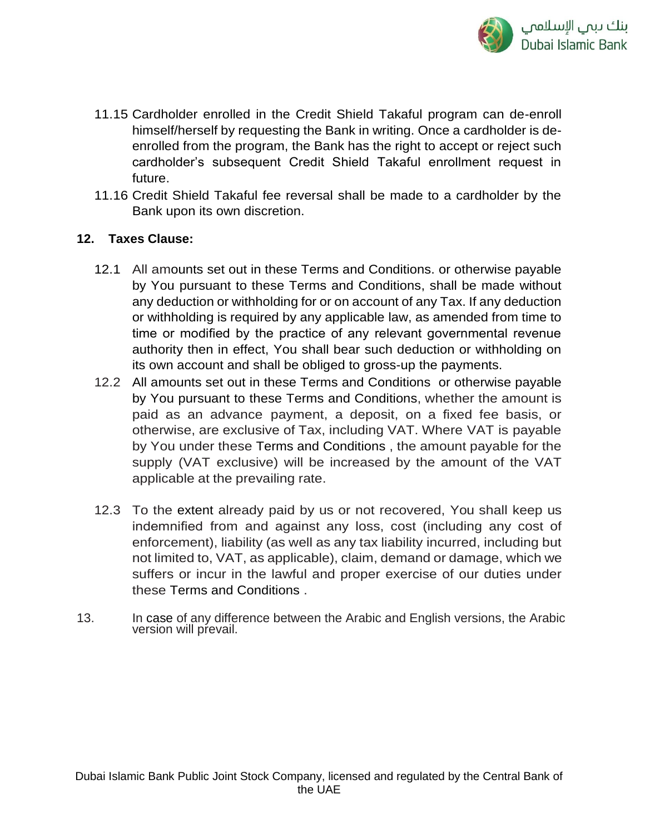

- 11.15 Cardholder enrolled in the Credit Shield Takaful program can de-enroll himself/herself by requesting the Bank in writing. Once a cardholder is deenrolled from the program, the Bank has the right to accept or reject such cardholder's subsequent Credit Shield Takaful enrollment request in future.
- 11.16 Credit Shield Takaful fee reversal shall be made to a cardholder by the Bank upon its own discretion.

### **12. Taxes Clause:**

- 12.1 All amounts set out in these Terms and Conditions. or otherwise payable by You pursuant to these Terms and Conditions, shall be made without any deduction or withholding for or on account of any Tax. If any deduction or withholding is required by any applicable law, as amended from time to time or modified by the practice of any relevant governmental revenue authority then in effect, You shall bear such deduction or withholding on its own account and shall be obliged to gross-up the payments.
- 12.2 All amounts set out in these Terms and Conditions or otherwise payable by You pursuant to these Terms and Conditions, whether the amount is paid as an advance payment, a deposit, on a fixed fee basis, or otherwise, are exclusive of Tax, including VAT. Where VAT is payable by You under these Terms and Conditions , the amount payable for the supply (VAT exclusive) will be increased by the amount of the VAT applicable at the prevailing rate.
- 12.3 To the extent already paid by us or not recovered, You shall keep us indemnified from and against any loss, cost (including any cost of enforcement), liability (as well as any tax liability incurred, including but not limited to, VAT, as applicable), claim, demand or damage, which we suffers or incur in the lawful and proper exercise of our duties under these Terms and Conditions .
- 13. In case of any difference between the Arabic and English versions, the Arabic version will prevail.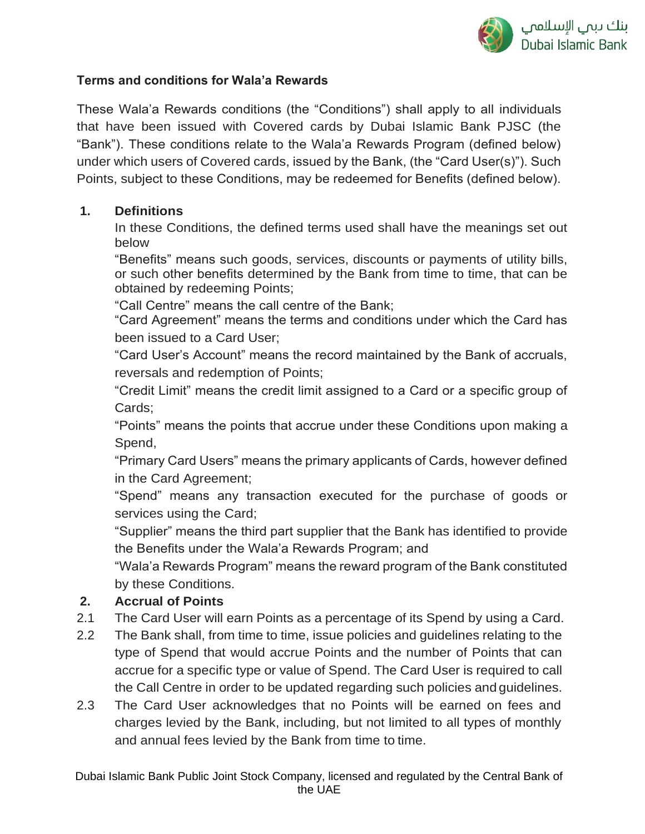

## **Terms and conditions for Wala'a Rewards**

These Wala'a Rewards conditions (the "Conditions") shall apply to all individuals that have been issued with Covered cards by Dubai Islamic Bank PJSC (the "Bank"). These conditions relate to the Wala'a Rewards Program (defined below) under which users of Covered cards, issued by the Bank, (the "Card User(s)"). Such Points, subject to these Conditions, may be redeemed for Benefits (defined below).

### **1. Definitions**

In these Conditions, the defined terms used shall have the meanings set out below

"Benefits" means such goods, services, discounts or payments of utility bills, or such other benefits determined by the Bank from time to time, that can be obtained by redeeming Points;

"Call Centre" means the call centre of the Bank;

"Card Agreement" means the terms and conditions under which the Card has been issued to a Card User;

"Card User's Account" means the record maintained by the Bank of accruals, reversals and redemption of Points;

"Credit Limit" means the credit limit assigned to a Card or a specific group of Cards;

"Points" means the points that accrue under these Conditions upon making a Spend,

"Primary Card Users" means the primary applicants of Cards, however defined in the Card Agreement;

"Spend" means any transaction executed for the purchase of goods or services using the Card;

"Supplier" means the third part supplier that the Bank has identified to provide the Benefits under the Wala'a Rewards Program; and

"Wala'a Rewards Program" means the reward program of the Bank constituted by these Conditions.

## **2. Accrual of Points**

- 2.1 The Card User will earn Points as a percentage of its Spend by using a Card.
- 2.2 The Bank shall, from time to time, issue policies and guidelines relating to the type of Spend that would accrue Points and the number of Points that can accrue for a specific type or value of Spend. The Card User is required to call the Call Centre in order to be updated regarding such policies and guidelines.
- 2.3 The Card User acknowledges that no Points will be earned on fees and charges levied by the Bank, including, but not limited to all types of monthly and annual fees levied by the Bank from time to time.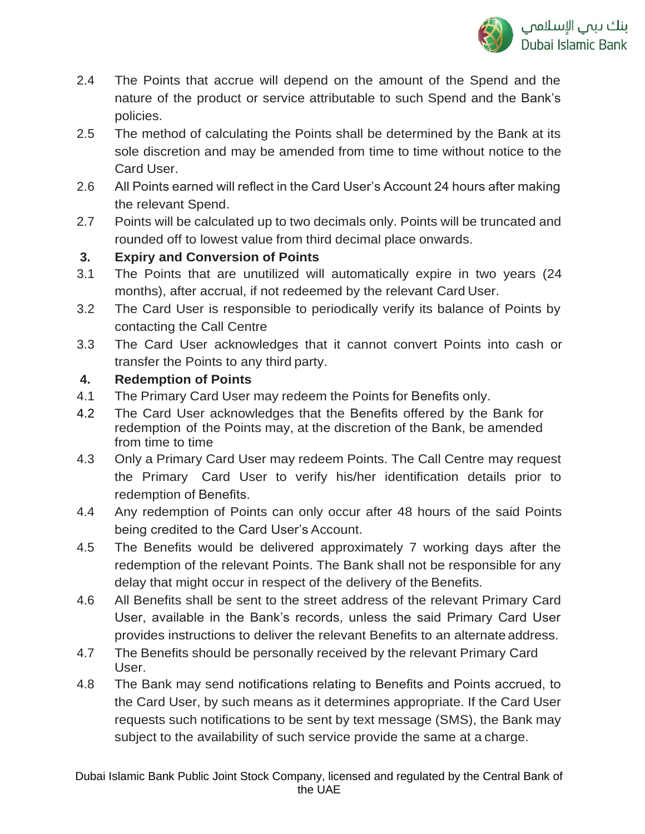

- 2.4 The Points that accrue will depend on the amount of the Spend and the nature of the product or service attributable to such Spend and the Bank's policies.
- 2.5 The method of calculating the Points shall be determined by the Bank at its sole discretion and may be amended from time to time without notice to the Card User.
- 2.6 All Points earned will reflect in the Card User's Account 24 hours after making the relevant Spend.
- 2.7 Points will be calculated up to two decimals only. Points will be truncated and rounded off to lowest value from third decimal place onwards.

# **3. Expiry and Conversion of Points**

- 3.1 The Points that are unutilized will automatically expire in two years (24 months), after accrual, if not redeemed by the relevant Card User.
- 3.2 The Card User is responsible to periodically verify its balance of Points by contacting the Call Centre
- 3.3 The Card User acknowledges that it cannot convert Points into cash or transfer the Points to any third party.

# **4. Redemption of Points**

- 4.1 The Primary Card User may redeem the Points for Benefits only.
- 4.2 The Card User acknowledges that the Benefits offered by the Bank for redemption of the Points may, at the discretion of the Bank, be amended from time to time
- 4.3 Only a Primary Card User may redeem Points. The Call Centre may request the Primary Card User to verify his/her identification details prior to redemption of Benefits.
- 4.4 Any redemption of Points can only occur after 48 hours of the said Points being credited to the Card User's Account.
- 4.5 The Benefits would be delivered approximately 7 working days after the redemption of the relevant Points. The Bank shall not be responsible for any delay that might occur in respect of the delivery of the Benefits.
- 4.6 All Benefits shall be sent to the street address of the relevant Primary Card User, available in the Bank's records, unless the said Primary Card User provides instructions to deliver the relevant Benefits to an alternate address.
- 4.7 The Benefits should be personally received by the relevant Primary Card User.
- 4.8 The Bank may send notifications relating to Benefits and Points accrued, to the Card User, by such means as it determines appropriate. If the Card User requests such notifications to be sent by text message (SMS), the Bank may subject to the availability of such service provide the same at a charge.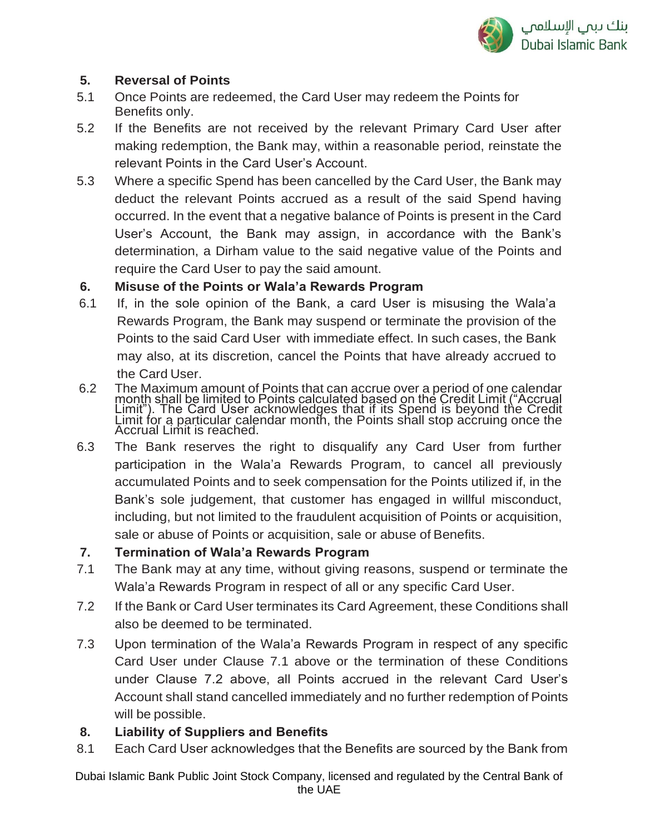

## **5. Reversal of Points**

- 5.1 Once Points are redeemed, the Card User may redeem the Points for Benefits only.
- 5.2 If the Benefits are not received by the relevant Primary Card User after making redemption, the Bank may, within a reasonable period, reinstate the relevant Points in the Card User's Account.
- 5.3 Where a specific Spend has been cancelled by the Card User, the Bank may deduct the relevant Points accrued as a result of the said Spend having occurred. In the event that a negative balance of Points is present in the Card User's Account, the Bank may assign, in accordance with the Bank's determination, a Dirham value to the said negative value of the Points and require the Card User to pay the said amount.

## **6. Misuse of the Points or Wala'a Rewards Program**

- 6.1 If, in the sole opinion of the Bank, a card User is misusing the Wala'a Rewards Program, the Bank may suspend or terminate the provision of the Points to the said Card User with immediate effect. In such cases, the Bank may also, at its discretion, cancel the Points that have already accrued to the Card User.
- 6.2 The Maximum amount of Points that can accrue over a period of one calendar month shall be limited to Points calculated based on the Credit Limit ("Accrual Limit"). The Card User acknowledges that if its Spend is beyond the Credit Limit for a particular calendar month, the Points shall stop accruing once the Accrual Limit is reached.
- 6.3 The Bank reserves the right to disqualify any Card User from further participation in the Wala'a Rewards Program, to cancel all previously accumulated Points and to seek compensation for the Points utilized if, in the Bank's sole judgement, that customer has engaged in willful misconduct, including, but not limited to the fraudulent acquisition of Points or acquisition, sale or abuse of Points or acquisition, sale or abuse of Benefits.

# **7. Termination of Wala'a Rewards Program**

- 7.1 The Bank may at any time, without giving reasons, suspend or terminate the Wala'a Rewards Program in respect of all or any specific Card User.
- 7.2 If the Bank or Card User terminates its Card Agreement, these Conditions shall also be deemed to be terminated.
- 7.3 Upon termination of the Wala'a Rewards Program in respect of any specific Card User under Clause 7.1 above or the termination of these Conditions under Clause 7.2 above, all Points accrued in the relevant Card User's Account shall stand cancelled immediately and no further redemption of Points will be possible.

# **8. Liability of Suppliers and Benefits**

8.1 Each Card User acknowledges that the Benefits are sourced by the Bank from

Dubai Islamic Bank Public Joint Stock Company, licensed and regulated by the Central Bank of the UAE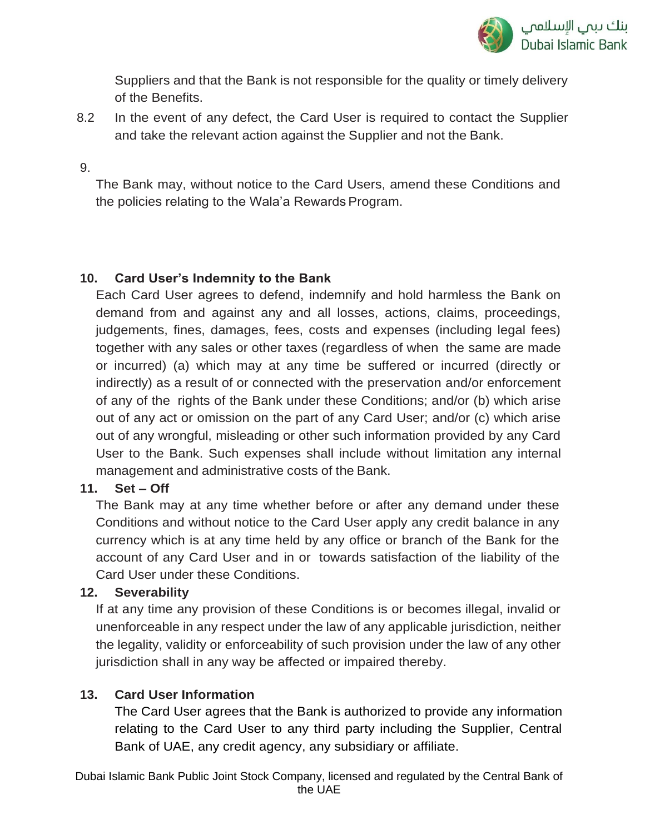

Suppliers and that the Bank is not responsible for the quality or timely delivery of the Benefits.

8.2 In the event of any defect, the Card User is required to contact the Supplier and take the relevant action against the Supplier and not the Bank.

#### 9.

The Bank may, without notice to the Card Users, amend these Conditions and the policies relating to the Wala'a Rewards Program.

### **10. Card User's Indemnity to the Bank**

Each Card User agrees to defend, indemnify and hold harmless the Bank on demand from and against any and all losses, actions, claims, proceedings, judgements, fines, damages, fees, costs and expenses (including legal fees) together with any sales or other taxes (regardless of when the same are made or incurred) (a) which may at any time be suffered or incurred (directly or indirectly) as a result of or connected with the preservation and/or enforcement of any of the rights of the Bank under these Conditions; and/or (b) which arise out of any act or omission on the part of any Card User; and/or (c) which arise out of any wrongful, misleading or other such information provided by any Card User to the Bank. Such expenses shall include without limitation any internal management and administrative costs of the Bank.

## **11. Set – Off**

The Bank may at any time whether before or after any demand under these Conditions and without notice to the Card User apply any credit balance in any currency which is at any time held by any office or branch of the Bank for the account of any Card User and in or towards satisfaction of the liability of the Card User under these Conditions.

## **12. Severability**

If at any time any provision of these Conditions is or becomes illegal, invalid or unenforceable in any respect under the law of any applicable jurisdiction, neither the legality, validity or enforceability of such provision under the law of any other jurisdiction shall in any way be affected or impaired thereby.

## **13. Card User Information**

The Card User agrees that the Bank is authorized to provide any information relating to the Card User to any third party including the Supplier, Central Bank of UAE, any credit agency, any subsidiary or affiliate.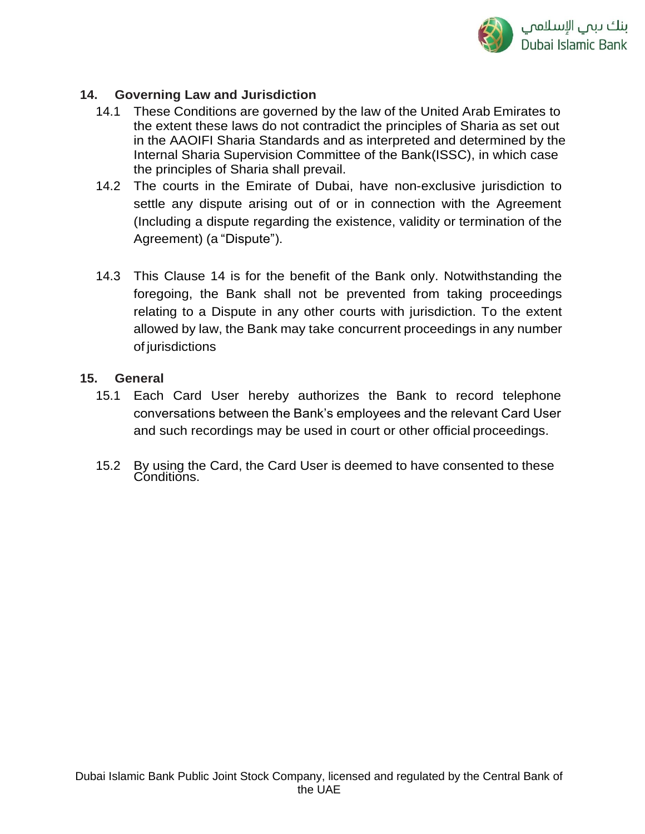

### **14. Governing Law and Jurisdiction**

- 14.1 These Conditions are governed by the law of the United Arab Emirates to the extent these laws do not contradict the principles of Sharia as set out in the AAOIFI Sharia Standards and as interpreted and determined by the Internal Sharia Supervision Committee of the Bank(ISSC), in which case the principles of Sharia shall prevail.
- 14.2 The courts in the Emirate of Dubai, have non-exclusive jurisdiction to settle any dispute arising out of or in connection with the Agreement (Including a dispute regarding the existence, validity or termination of the Agreement) (a "Dispute").
- 14.3 This Clause 14 is for the benefit of the Bank only. Notwithstanding the foregoing, the Bank shall not be prevented from taking proceedings relating to a Dispute in any other courts with jurisdiction. To the extent allowed by law, the Bank may take concurrent proceedings in any number of jurisdictions

### **15. General**

- 15.1 Each Card User hereby authorizes the Bank to record telephone conversations between the Bank's employees and the relevant Card User and such recordings may be used in court or other official proceedings.
- 15.2 By using the Card, the Card User is deemed to have consented to these Conditions.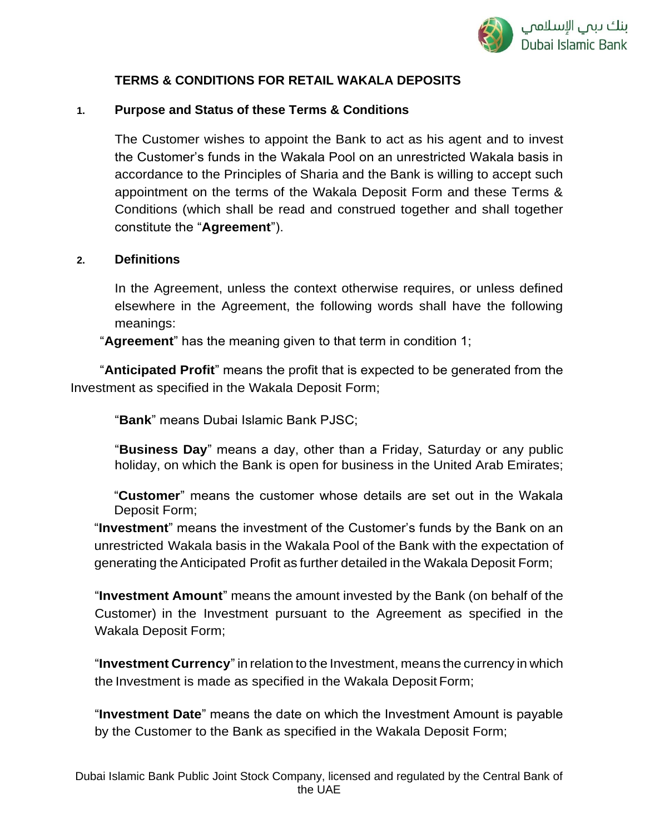

# **TERMS & CONDITIONS FOR RETAIL WAKALA DEPOSITS**

### **1. Purpose and Status of these Terms & Conditions**

The Customer wishes to appoint the Bank to act as his agent and to invest the Customer's funds in the Wakala Pool on an unrestricted Wakala basis in accordance to the Principles of Sharia and the Bank is willing to accept such appointment on the terms of the Wakala Deposit Form and these Terms & Conditions (which shall be read and construed together and shall together constitute the "**Agreement**").

#### **2. Definitions**

In the Agreement, unless the context otherwise requires, or unless defined elsewhere in the Agreement, the following words shall have the following meanings:

"**Agreement**" has the meaning given to that term in condition 1;

 "**Anticipated Profit**" means the profit that is expected to be generated from the Investment as specified in the Wakala Deposit Form;

"**Bank**" means Dubai Islamic Bank PJSC;

"**Business Day**" means a day, other than a Friday, Saturday or any public holiday, on which the Bank is open for business in the United Arab Emirates;

"**Customer**" means the customer whose details are set out in the Wakala Deposit Form;

"**Investment**" means the investment of the Customer's funds by the Bank on an unrestricted Wakala basis in the Wakala Pool of the Bank with the expectation of generating the Anticipated Profit as further detailed in the Wakala Deposit Form;

"**Investment Amount**" means the amount invested by the Bank (on behalf of the Customer) in the Investment pursuant to the Agreement as specified in the Wakala Deposit Form;

"**Investment Currency**" in relation to the Investment, means the currency in which the Investment is made as specified in the Wakala Deposit Form;

"**Investment Date**" means the date on which the Investment Amount is payable by the Customer to the Bank as specified in the Wakala Deposit Form;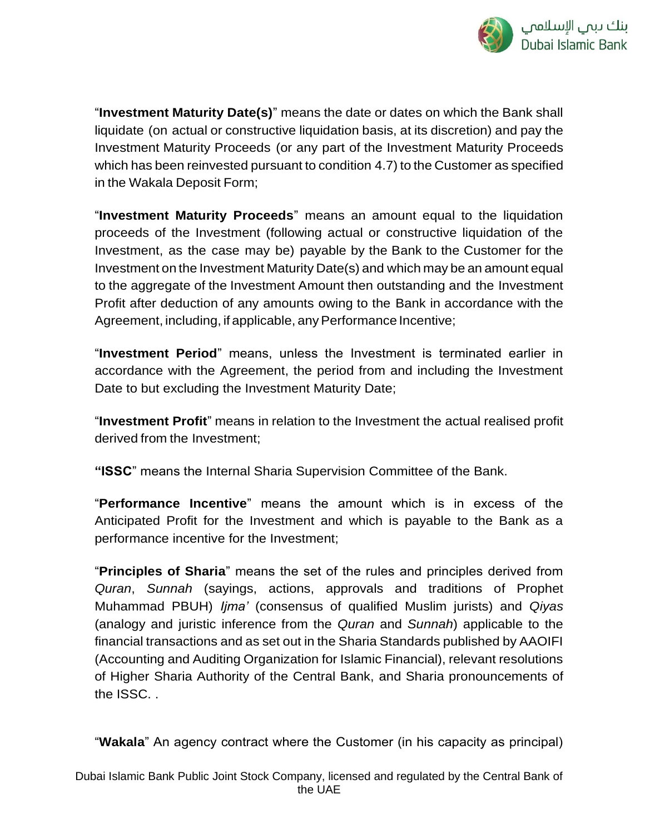

"**Investment Maturity Date(s)**" means the date or dates on which the Bank shall liquidate (on actual or constructive liquidation basis, at its discretion) and pay the Investment Maturity Proceeds (or any part of the Investment Maturity Proceeds which has been reinvested pursuant to condition 4.7) to the Customer as specified in the Wakala Deposit Form;

"**Investment Maturity Proceeds**" means an amount equal to the liquidation proceeds of the Investment (following actual or constructive liquidation of the Investment, as the case may be) payable by the Bank to the Customer for the Investment on the Investment Maturity Date(s) and which may be an amount equal to the aggregate of the Investment Amount then outstanding and the Investment Profit after deduction of any amounts owing to the Bank in accordance with the Agreement, including, if applicable, any Performance Incentive;

"**Investment Period**" means, unless the Investment is terminated earlier in accordance with the Agreement, the period from and including the Investment Date to but excluding the Investment Maturity Date;

"**Investment Profit**" means in relation to the Investment the actual realised profit derived from the Investment;

**"ISSC**" means the Internal Sharia Supervision Committee of the Bank.

"**Performance Incentive**" means the amount which is in excess of the Anticipated Profit for the Investment and which is payable to the Bank as a performance incentive for the Investment;

"**Principles of Sharia**" means the set of the rules and principles derived from *Quran*, *Sunnah* (sayings, actions, approvals and traditions of Prophet Muhammad PBUH) *Ijma'* (consensus of qualified Muslim jurists) and *Qiyas*  (analogy and juristic inference from the *Quran* and *Sunnah*) applicable to the financial transactions and as set out in the Sharia Standards published by AAOIFI (Accounting and Auditing Organization for Islamic Financial), relevant resolutions of Higher Sharia Authority of the Central Bank, and Sharia pronouncements of the ISSC. .

"**Wakala**" An agency contract where the Customer (in his capacity as principal)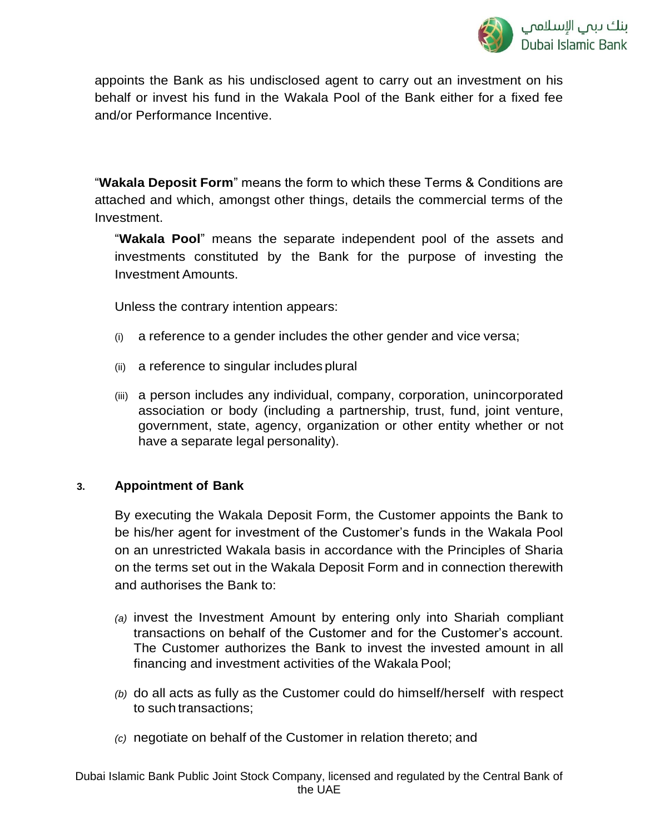appoints the Bank as his undisclosed agent to carry out an investment on his behalf or invest his fund in the Wakala Pool of the Bank either for a fixed fee and/or Performance Incentive.

"**Wakala Deposit Form**" means the form to which these Terms & Conditions are attached and which, amongst other things, details the commercial terms of the Investment.

"**Wakala Pool**" means the separate independent pool of the assets and investments constituted by the Bank for the purpose of investing the Investment Amounts.

Unless the contrary intention appears:

- (i) a reference to a gender includes the other gender and vice versa;
- (ii) a reference to singular includes plural
- (iii) a person includes any individual, company, corporation, unincorporated association or body (including a partnership, trust, fund, joint venture, government, state, agency, organization or other entity whether or not have a separate legal personality).

## **3. Appointment of Bank**

By executing the Wakala Deposit Form, the Customer appoints the Bank to be his/her agent for investment of the Customer's funds in the Wakala Pool on an unrestricted Wakala basis in accordance with the Principles of Sharia on the terms set out in the Wakala Deposit Form and in connection therewith and authorises the Bank to:

- *(a)* invest the Investment Amount by entering only into Shariah compliant transactions on behalf of the Customer and for the Customer's account. The Customer authorizes the Bank to invest the invested amount in all financing and investment activities of the Wakala Pool;
- *(b)* do all acts as fully as the Customer could do himself/herself with respect to such transactions;
- *(c)* negotiate on behalf of the Customer in relation thereto; and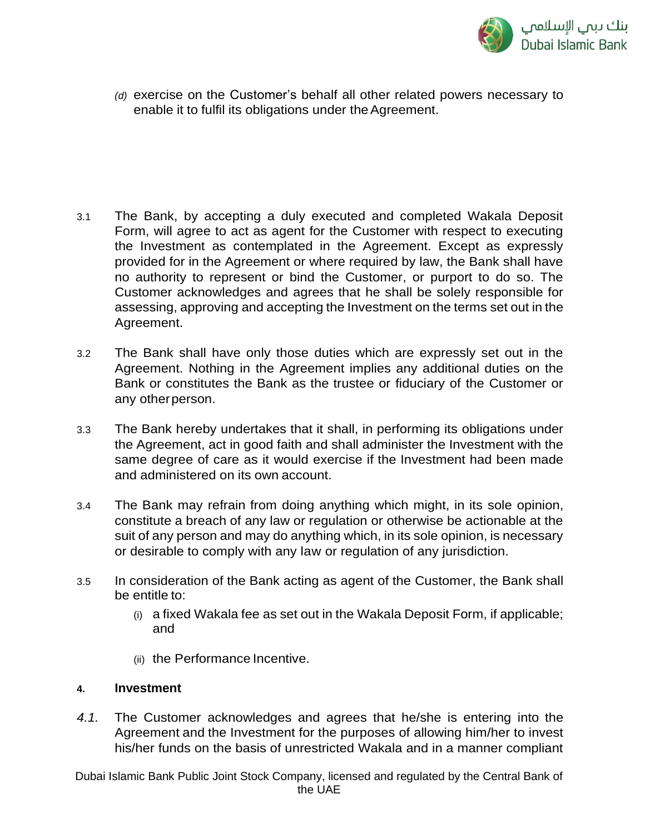

*(d)* exercise on the Customer's behalf all other related powers necessary to enable it to fulfil its obligations under the Agreement.

- 3.1 The Bank, by accepting a duly executed and completed Wakala Deposit Form, will agree to act as agent for the Customer with respect to executing the Investment as contemplated in the Agreement. Except as expressly provided for in the Agreement or where required by law, the Bank shall have no authority to represent or bind the Customer, or purport to do so. The Customer acknowledges and agrees that he shall be solely responsible for assessing, approving and accepting the Investment on the terms set out in the Agreement.
- 3.2 The Bank shall have only those duties which are expressly set out in the Agreement. Nothing in the Agreement implies any additional duties on the Bank or constitutes the Bank as the trustee or fiduciary of the Customer or any otherperson.
- 3.3 The Bank hereby undertakes that it shall, in performing its obligations under the Agreement, act in good faith and shall administer the Investment with the same degree of care as it would exercise if the Investment had been made and administered on its own account.
- 3.4 The Bank may refrain from doing anything which might, in its sole opinion, constitute a breach of any law or regulation or otherwise be actionable at the suit of any person and may do anything which, in its sole opinion, is necessary or desirable to comply with any law or regulation of any jurisdiction.
- 3.5 In consideration of the Bank acting as agent of the Customer, the Bank shall be entitle to:
	- (i) a fixed Wakala fee as set out in the Wakala Deposit Form, if applicable; and
	- (ii) the Performance Incentive.

### **4. Investment**

*4.1.* The Customer acknowledges and agrees that he/she is entering into the Agreement and the Investment for the purposes of allowing him/her to invest his/her funds on the basis of unrestricted Wakala and in a manner compliant

Dubai Islamic Bank Public Joint Stock Company, licensed and regulated by the Central Bank of the UAE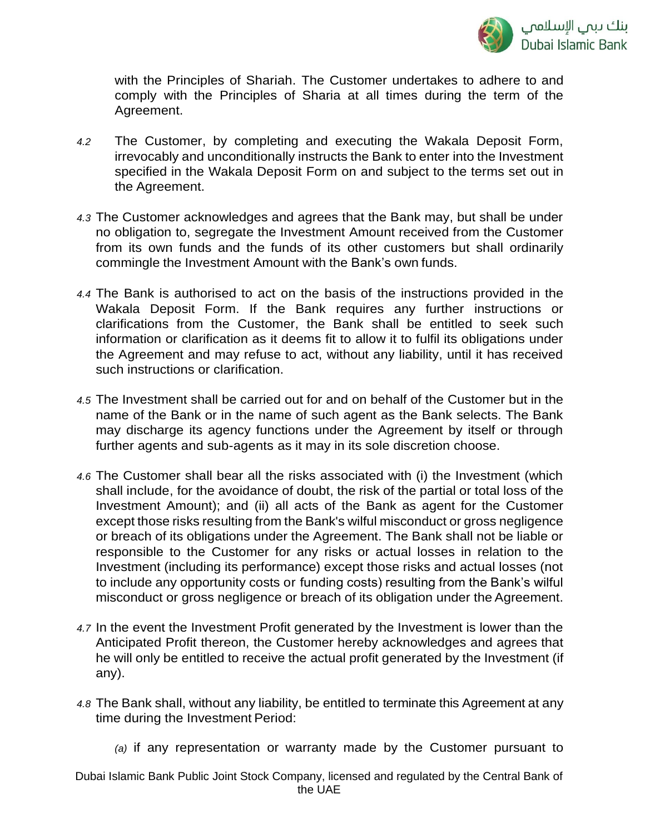

with the Principles of Shariah. The Customer undertakes to adhere to and comply with the Principles of Sharia at all times during the term of the Agreement.

- *4.2* The Customer, by completing and executing the Wakala Deposit Form, irrevocably and unconditionally instructs the Bank to enter into the Investment specified in the Wakala Deposit Form on and subject to the terms set out in the Agreement.
- *4.3* The Customer acknowledges and agrees that the Bank may, but shall be under no obligation to, segregate the Investment Amount received from the Customer from its own funds and the funds of its other customers but shall ordinarily commingle the Investment Amount with the Bank's own funds.
- *4.4* The Bank is authorised to act on the basis of the instructions provided in the Wakala Deposit Form. If the Bank requires any further instructions or clarifications from the Customer, the Bank shall be entitled to seek such information or clarification as it deems fit to allow it to fulfil its obligations under the Agreement and may refuse to act, without any liability, until it has received such instructions or clarification.
- *4.5* The Investment shall be carried out for and on behalf of the Customer but in the name of the Bank or in the name of such agent as the Bank selects. The Bank may discharge its agency functions under the Agreement by itself or through further agents and sub-agents as it may in its sole discretion choose.
- *4.6* The Customer shall bear all the risks associated with (i) the Investment (which shall include, for the avoidance of doubt, the risk of the partial or total loss of the Investment Amount); and (ii) all acts of the Bank as agent for the Customer except those risks resulting from the Bank's wilful misconduct or gross negligence or breach of its obligations under the Agreement. The Bank shall not be liable or responsible to the Customer for any risks or actual losses in relation to the Investment (including its performance) except those risks and actual losses (not to include any opportunity costs or funding costs) resulting from the Bank's wilful misconduct or gross negligence or breach of its obligation under the Agreement.
- *4.7* In the event the Investment Profit generated by the Investment is lower than the Anticipated Profit thereon, the Customer hereby acknowledges and agrees that he will only be entitled to receive the actual profit generated by the Investment (if any).
- *4.8* The Bank shall, without any liability, be entitled to terminate this Agreement at any time during the Investment Period:
	- *(a)* if any representation or warranty made by the Customer pursuant to

Dubai Islamic Bank Public Joint Stock Company, licensed and regulated by the Central Bank of the UAE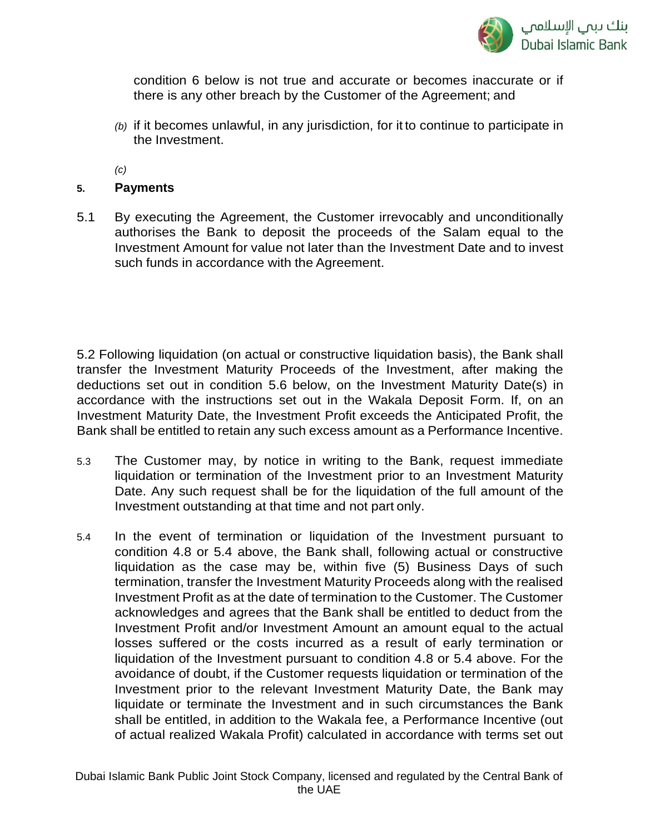

condition 6 below is not true and accurate or becomes inaccurate or if there is any other breach by the Customer of the Agreement; and

*(b)* if it becomes unlawful, in any jurisdiction, for it to continue to participate in the Investment.

*(c)*

### **5. Payments**

5.1 By executing the Agreement, the Customer irrevocably and unconditionally authorises the Bank to deposit the proceeds of the Salam equal to the Investment Amount for value not later than the Investment Date and to invest such funds in accordance with the Agreement.

5.2 Following liquidation (on actual or constructive liquidation basis), the Bank shall transfer the Investment Maturity Proceeds of the Investment, after making the deductions set out in condition 5.6 below, on the Investment Maturity Date(s) in accordance with the instructions set out in the Wakala Deposit Form. If, on an Investment Maturity Date, the Investment Profit exceeds the Anticipated Profit, the Bank shall be entitled to retain any such excess amount as a Performance Incentive.

- 5.3 The Customer may, by notice in writing to the Bank, request immediate liquidation or termination of the Investment prior to an Investment Maturity Date. Any such request shall be for the liquidation of the full amount of the Investment outstanding at that time and not part only.
- 5.4 In the event of termination or liquidation of the Investment pursuant to condition 4.8 or 5.4 above, the Bank shall, following actual or constructive liquidation as the case may be, within five (5) Business Days of such termination, transfer the Investment Maturity Proceeds along with the realised Investment Profit as at the date of termination to the Customer. The Customer acknowledges and agrees that the Bank shall be entitled to deduct from the Investment Profit and/or Investment Amount an amount equal to the actual losses suffered or the costs incurred as a result of early termination or liquidation of the Investment pursuant to condition 4.8 or 5.4 above. For the avoidance of doubt, if the Customer requests liquidation or termination of the Investment prior to the relevant Investment Maturity Date, the Bank may liquidate or terminate the Investment and in such circumstances the Bank shall be entitled, in addition to the Wakala fee, a Performance Incentive (out of actual realized Wakala Profit) calculated in accordance with terms set out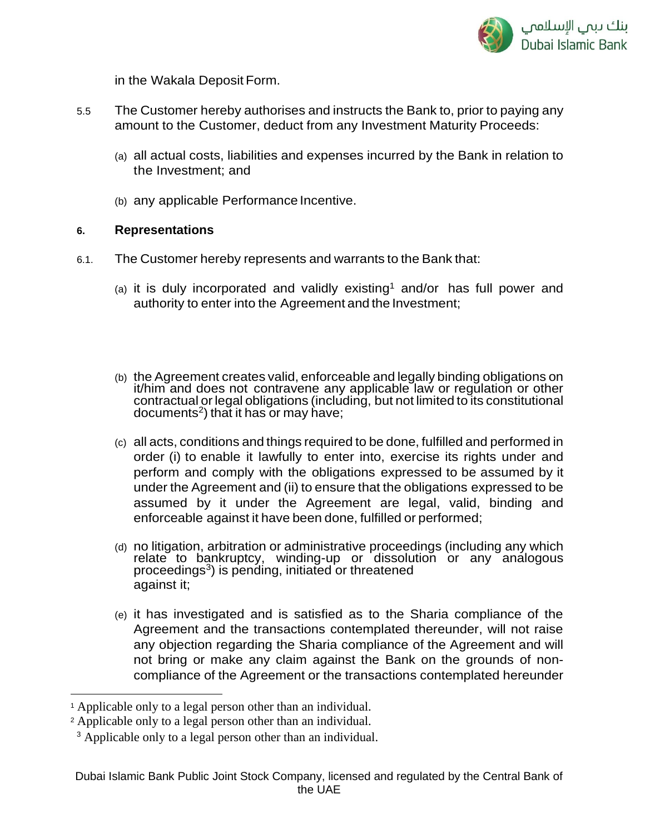

in the Wakala Deposit Form.

- 5.5 The Customer hereby authorises and instructs the Bank to, prior to paying any amount to the Customer, deduct from any Investment Maturity Proceeds:
	- (a) all actual costs, liabilities and expenses incurred by the Bank in relation to the Investment; and
	- (b) any applicable Performance Incentive.

#### **6. Representations**

- 6.1. The Customer hereby represents and warrants to the Bank that:
	- (a) it is duly incorporated and validly existing<sup>1</sup> and/or has full power and authority to enter into the Agreement and the Investment;
	- (b) the Agreement creates valid, enforceable and legally binding obligations on it/him and does not contravene any applicable law or regulation or other contractual or legal obligations (including, but not limited to its constitutional documents<sup>2</sup> ) that it has or may have;
	- (c) all acts, conditions and things required to be done, fulfilled and performed in order (i) to enable it lawfully to enter into, exercise its rights under and perform and comply with the obligations expressed to be assumed by it under the Agreement and (ii) to ensure that the obligations expressed to be assumed by it under the Agreement are legal, valid, binding and enforceable against it have been done, fulfilled or performed;
	- (d) no litigation, arbitration or administrative proceedings (including any which relate to bankruptcy, winding-up or dissolution or any analogous proceedings<sup>3</sup>) is pending, initiated or threatened against it;
	- (e) it has investigated and is satisfied as to the Sharia compliance of the Agreement and the transactions contemplated thereunder, will not raise any objection regarding the Sharia compliance of the Agreement and will not bring or make any claim against the Bank on the grounds of noncompliance of the Agreement or the transactions contemplated hereunder

 $\overline{a}$ 

<sup>1</sup> Applicable only to a legal person other than an individual.

<sup>2</sup> Applicable only to a legal person other than an individual.

<sup>&</sup>lt;sup>3</sup> Applicable only to a legal person other than an individual.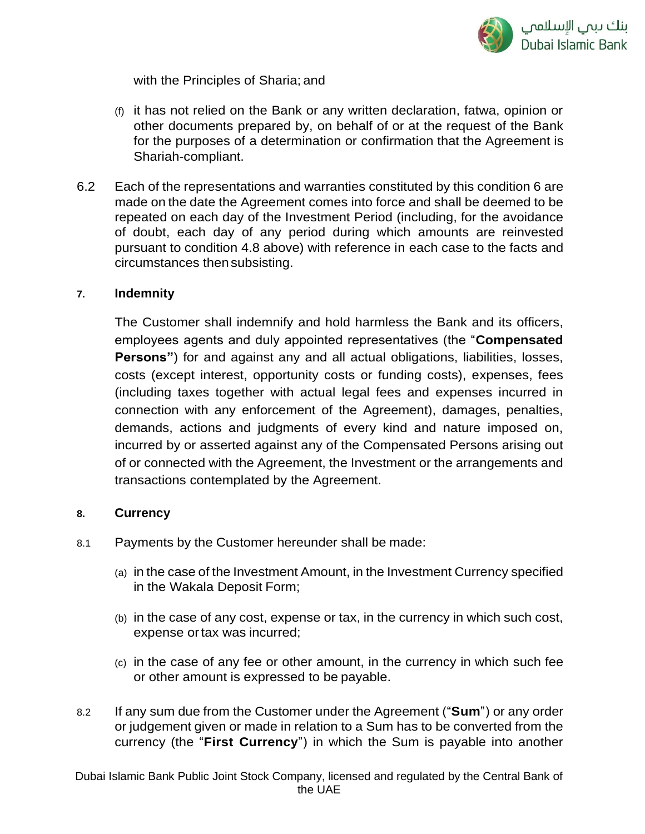

with the Principles of Sharia; and

- (f) it has not relied on the Bank or any written declaration, fatwa, opinion or other documents prepared by, on behalf of or at the request of the Bank for the purposes of a determination or confirmation that the Agreement is Shariah-compliant.
- 6.2 Each of the representations and warranties constituted by this condition 6 are made on the date the Agreement comes into force and shall be deemed to be repeated on each day of the Investment Period (including, for the avoidance of doubt, each day of any period during which amounts are reinvested pursuant to condition 4.8 above) with reference in each case to the facts and circumstances then subsisting.

### **7. Indemnity**

The Customer shall indemnify and hold harmless the Bank and its officers, employees agents and duly appointed representatives (the "**Compensated Persons**") for and against any and all actual obligations, liabilities, losses, costs (except interest, opportunity costs or funding costs), expenses, fees (including taxes together with actual legal fees and expenses incurred in connection with any enforcement of the Agreement), damages, penalties, demands, actions and judgments of every kind and nature imposed on, incurred by or asserted against any of the Compensated Persons arising out of or connected with the Agreement, the Investment or the arrangements and transactions contemplated by the Agreement.

#### **8. Currency**

- 8.1 Payments by the Customer hereunder shall be made:
	- (a) in the case of the Investment Amount, in the Investment Currency specified in the Wakala Deposit Form;
	- (b) in the case of any cost, expense or tax, in the currency in which such cost, expense ortax was incurred;
	- (c) in the case of any fee or other amount, in the currency in which such fee or other amount is expressed to be payable.
- 8.2 If any sum due from the Customer under the Agreement ("**Sum**") or any order or judgement given or made in relation to a Sum has to be converted from the currency (the "**First Currency**") in which the Sum is payable into another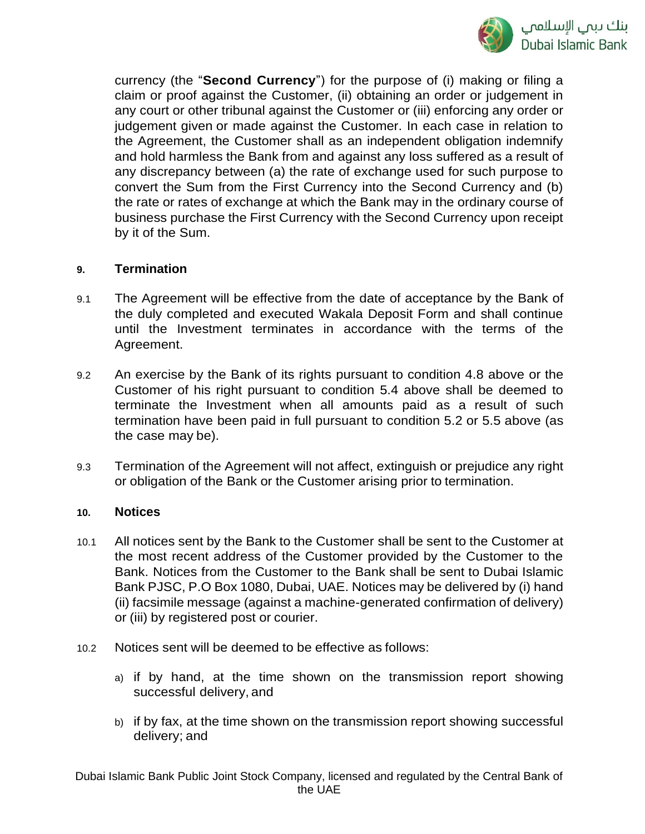

currency (the "**Second Currency**") for the purpose of (i) making or filing a claim or proof against the Customer, (ii) obtaining an order or judgement in any court or other tribunal against the Customer or (iii) enforcing any order or judgement given or made against the Customer. In each case in relation to the Agreement, the Customer shall as an independent obligation indemnify and hold harmless the Bank from and against any loss suffered as a result of any discrepancy between (a) the rate of exchange used for such purpose to convert the Sum from the First Currency into the Second Currency and (b) the rate or rates of exchange at which the Bank may in the ordinary course of business purchase the First Currency with the Second Currency upon receipt by it of the Sum.

#### **9. Termination**

- 9.1 The Agreement will be effective from the date of acceptance by the Bank of the duly completed and executed Wakala Deposit Form and shall continue until the Investment terminates in accordance with the terms of the Agreement.
- 9.2 An exercise by the Bank of its rights pursuant to condition 4.8 above or the Customer of his right pursuant to condition 5.4 above shall be deemed to terminate the Investment when all amounts paid as a result of such termination have been paid in full pursuant to condition 5.2 or 5.5 above (as the case may be).
- 9.3 Termination of the Agreement will not affect, extinguish or prejudice any right or obligation of the Bank or the Customer arising prior to termination.

#### **10. Notices**

- 10.1 All notices sent by the Bank to the Customer shall be sent to the Customer at the most recent address of the Customer provided by the Customer to the Bank. Notices from the Customer to the Bank shall be sent to Dubai Islamic Bank PJSC, P.O Box 1080, Dubai, UAE. Notices may be delivered by (i) hand (ii) facsimile message (against a machine-generated confirmation of delivery) or (iii) by registered post or courier.
- 10.2 Notices sent will be deemed to be effective as follows:
	- a) if by hand, at the time shown on the transmission report showing successful delivery, and
	- b) if by fax, at the time shown on the transmission report showing successful delivery; and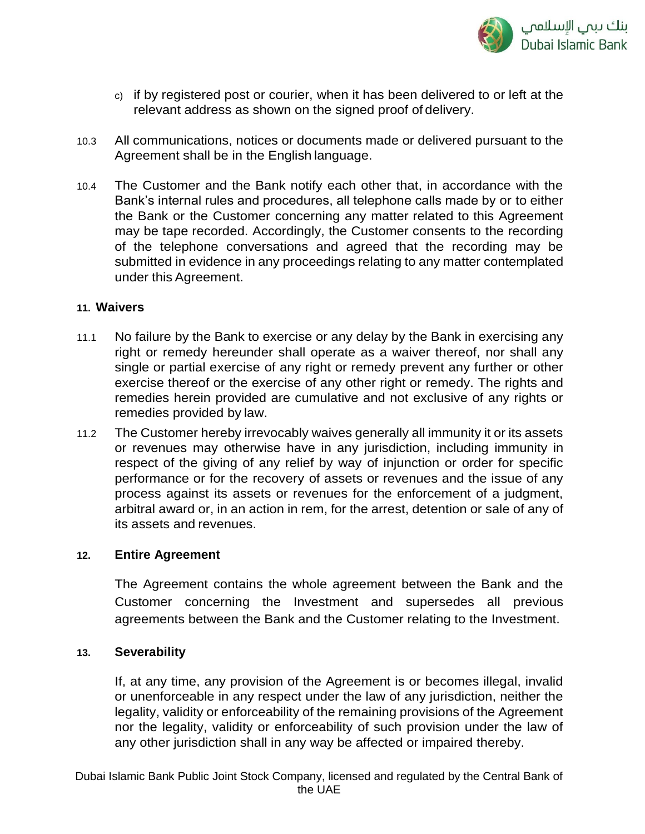

- c) if by registered post or courier, when it has been delivered to or left at the relevant address as shown on the signed proof of delivery.
- 10.3 All communications, notices or documents made or delivered pursuant to the Agreement shall be in the English language.
- 10.4 The Customer and the Bank notify each other that, in accordance with the Bank's internal rules and procedures, all telephone calls made by or to either the Bank or the Customer concerning any matter related to this Agreement may be tape recorded. Accordingly, the Customer consents to the recording of the telephone conversations and agreed that the recording may be submitted in evidence in any proceedings relating to any matter contemplated under this Agreement.

#### **11. Waivers**

- 11.1 No failure by the Bank to exercise or any delay by the Bank in exercising any right or remedy hereunder shall operate as a waiver thereof, nor shall any single or partial exercise of any right or remedy prevent any further or other exercise thereof or the exercise of any other right or remedy. The rights and remedies herein provided are cumulative and not exclusive of any rights or remedies provided by law.
- 11.2 The Customer hereby irrevocably waives generally all immunity it or its assets or revenues may otherwise have in any jurisdiction, including immunity in respect of the giving of any relief by way of injunction or order for specific performance or for the recovery of assets or revenues and the issue of any process against its assets or revenues for the enforcement of a judgment, arbitral award or, in an action in rem, for the arrest, detention or sale of any of its assets and revenues.

### **12. Entire Agreement**

The Agreement contains the whole agreement between the Bank and the Customer concerning the Investment and supersedes all previous agreements between the Bank and the Customer relating to the Investment.

#### **13. Severability**

If, at any time, any provision of the Agreement is or becomes illegal, invalid or unenforceable in any respect under the law of any jurisdiction, neither the legality, validity or enforceability of the remaining provisions of the Agreement nor the legality, validity or enforceability of such provision under the law of any other jurisdiction shall in any way be affected or impaired thereby.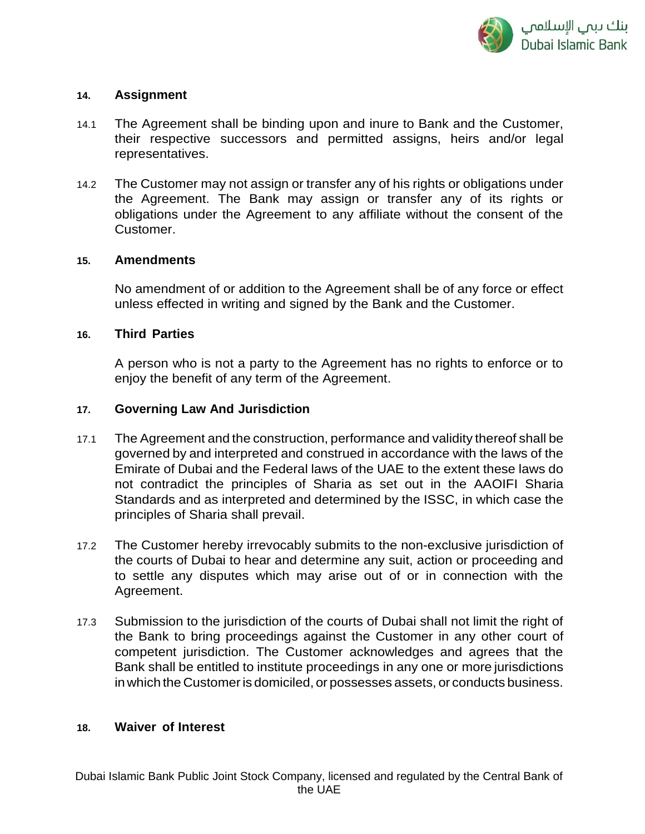#### **14. Assignment**

- 14.1 The Agreement shall be binding upon and inure to Bank and the Customer, their respective successors and permitted assigns, heirs and/or legal representatives.
- 14.2 The Customer may not assign or transfer any of his rights or obligations under the Agreement. The Bank may assign or transfer any of its rights or obligations under the Agreement to any affiliate without the consent of the Customer.

### **15. Amendments**

No amendment of or addition to the Agreement shall be of any force or effect unless effected in writing and signed by the Bank and the Customer.

#### **16. Third Parties**

A person who is not a party to the Agreement has no rights to enforce or to enjoy the benefit of any term of the Agreement.

#### **17. Governing Law And Jurisdiction**

- 17.1 The Agreement and the construction, performance and validity thereof shall be governed by and interpreted and construed in accordance with the laws of the Emirate of Dubai and the Federal laws of the UAE to the extent these laws do not contradict the principles of Sharia as set out in the AAOIFI Sharia Standards and as interpreted and determined by the ISSC, in which case the principles of Sharia shall prevail.
- 17.2 The Customer hereby irrevocably submits to the non-exclusive jurisdiction of the courts of Dubai to hear and determine any suit, action or proceeding and to settle any disputes which may arise out of or in connection with the Agreement.
- 17.3 Submission to the jurisdiction of the courts of Dubai shall not limit the right of the Bank to bring proceedings against the Customer in any other court of competent jurisdiction. The Customer acknowledges and agrees that the Bank shall be entitled to institute proceedings in any one or more jurisdictions in which the Customeris domiciled, or possesses assets, or conducts business.

#### **18. Waiver of Interest**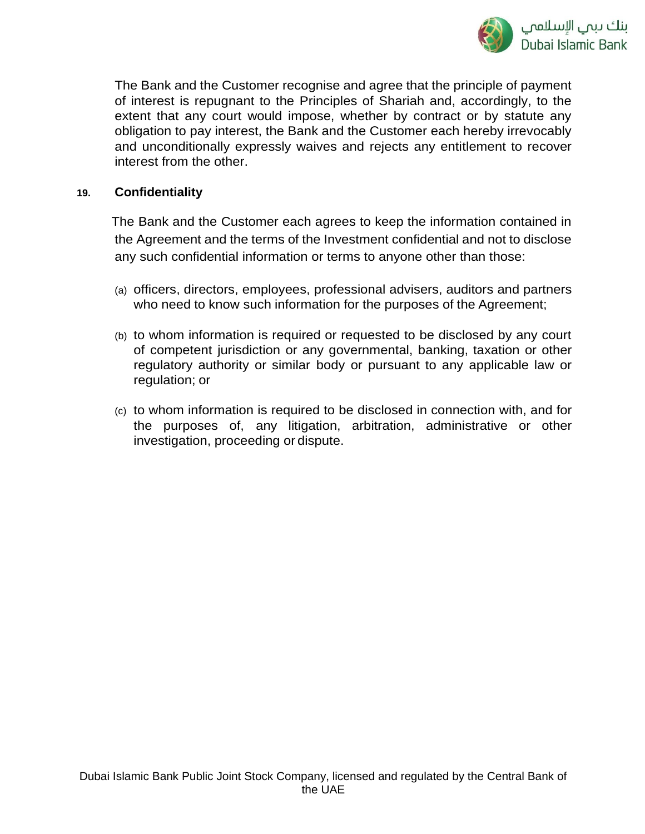

The Bank and the Customer recognise and agree that the principle of payment of interest is repugnant to the Principles of Shariah and, accordingly, to the extent that any court would impose, whether by contract or by statute any obligation to pay interest, the Bank and the Customer each hereby irrevocably and unconditionally expressly waives and rejects any entitlement to recover interest from the other.

#### **19. Confidentiality**

The Bank and the Customer each agrees to keep the information contained in the Agreement and the terms of the Investment confidential and not to disclose any such confidential information or terms to anyone other than those:

- (a) officers, directors, employees, professional advisers, auditors and partners who need to know such information for the purposes of the Agreement;
- (b) to whom information is required or requested to be disclosed by any court of competent jurisdiction or any governmental, banking, taxation or other regulatory authority or similar body or pursuant to any applicable law or regulation; or
- (c) to whom information is required to be disclosed in connection with, and for the purposes of, any litigation, arbitration, administrative or other investigation, proceeding or dispute.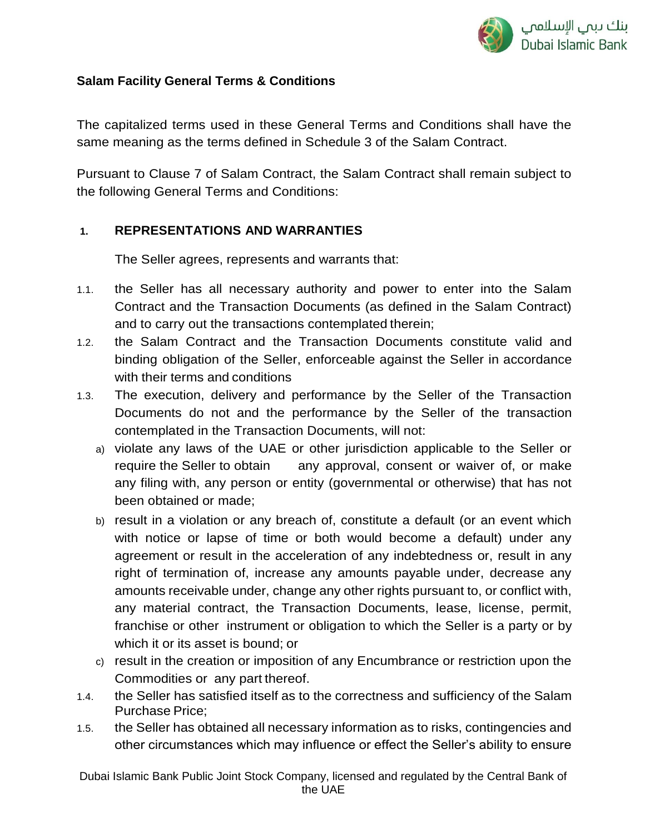

## **Salam Facility General Terms & Conditions**

The capitalized terms used in these General Terms and Conditions shall have the same meaning as the terms defined in Schedule 3 of the Salam Contract.

Pursuant to Clause 7 of Salam Contract, the Salam Contract shall remain subject to the following General Terms and Conditions:

### **1. REPRESENTATIONS AND WARRANTIES**

The Seller agrees, represents and warrants that:

- 1.1. the Seller has all necessary authority and power to enter into the Salam Contract and the Transaction Documents (as defined in the Salam Contract) and to carry out the transactions contemplated therein;
- 1.2. the Salam Contract and the Transaction Documents constitute valid and binding obligation of the Seller, enforceable against the Seller in accordance with their terms and conditions
- 1.3. The execution, delivery and performance by the Seller of the Transaction Documents do not and the performance by the Seller of the transaction contemplated in the Transaction Documents, will not:
	- a) violate any laws of the UAE or other jurisdiction applicable to the Seller or require the Seller to obtain any approval, consent or waiver of, or make any filing with, any person or entity (governmental or otherwise) that has not been obtained or made;
	- b) result in a violation or any breach of, constitute a default (or an event which with notice or lapse of time or both would become a default) under any agreement or result in the acceleration of any indebtedness or, result in any right of termination of, increase any amounts payable under, decrease any amounts receivable under, change any other rights pursuant to, or conflict with, any material contract, the Transaction Documents, lease, license, permit, franchise or other instrument or obligation to which the Seller is a party or by which it or its asset is bound; or
	- c) result in the creation or imposition of any Encumbrance or restriction upon the Commodities or any part thereof.
- 1.4. the Seller has satisfied itself as to the correctness and sufficiency of the Salam Purchase Price;
- 1.5. the Seller has obtained all necessary information as to risks, contingencies and other circumstances which may influence or effect the Seller's ability to ensure

Dubai Islamic Bank Public Joint Stock Company, licensed and regulated by the Central Bank of the UAE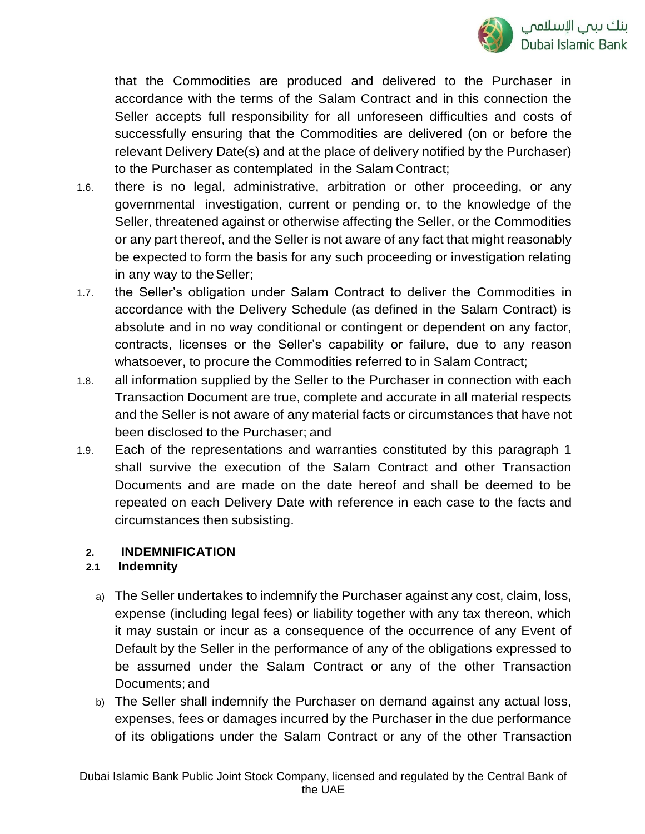

that the Commodities are produced and delivered to the Purchaser in accordance with the terms of the Salam Contract and in this connection the Seller accepts full responsibility for all unforeseen difficulties and costs of successfully ensuring that the Commodities are delivered (on or before the relevant Delivery Date(s) and at the place of delivery notified by the Purchaser) to the Purchaser as contemplated in the Salam Contract;

- 1.6. there is no legal, administrative, arbitration or other proceeding, or any governmental investigation, current or pending or, to the knowledge of the Seller, threatened against or otherwise affecting the Seller, or the Commodities or any part thereof, and the Seller is not aware of any fact that might reasonably be expected to form the basis for any such proceeding or investigation relating in any way to the Seller;
- 1.7. the Seller's obligation under Salam Contract to deliver the Commodities in accordance with the Delivery Schedule (as defined in the Salam Contract) is absolute and in no way conditional or contingent or dependent on any factor, contracts, licenses or the Seller's capability or failure, due to any reason whatsoever, to procure the Commodities referred to in Salam Contract;
- 1.8. all information supplied by the Seller to the Purchaser in connection with each Transaction Document are true, complete and accurate in all material respects and the Seller is not aware of any material facts or circumstances that have not been disclosed to the Purchaser; and
- 1.9. Each of the representations and warranties constituted by this paragraph 1 shall survive the execution of the Salam Contract and other Transaction Documents and are made on the date hereof and shall be deemed to be repeated on each Delivery Date with reference in each case to the facts and circumstances then subsisting.

## **2. INDEMNIFICATION**

### **2.1 Indemnity**

- a) The Seller undertakes to indemnify the Purchaser against any cost, claim, loss, expense (including legal fees) or liability together with any tax thereon, which it may sustain or incur as a consequence of the occurrence of any Event of Default by the Seller in the performance of any of the obligations expressed to be assumed under the Salam Contract or any of the other Transaction Documents; and
- b) The Seller shall indemnify the Purchaser on demand against any actual loss, expenses, fees or damages incurred by the Purchaser in the due performance of its obligations under the Salam Contract or any of the other Transaction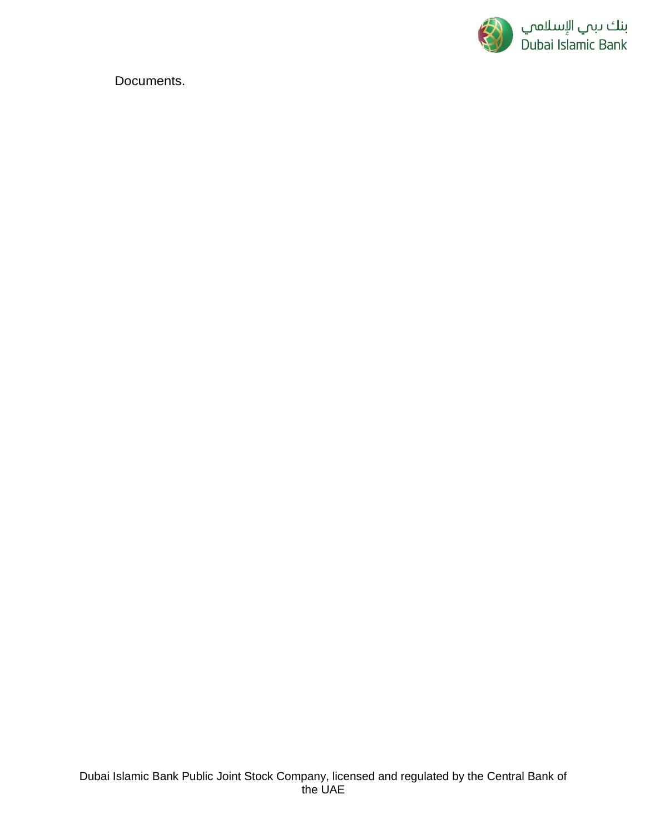

Documents.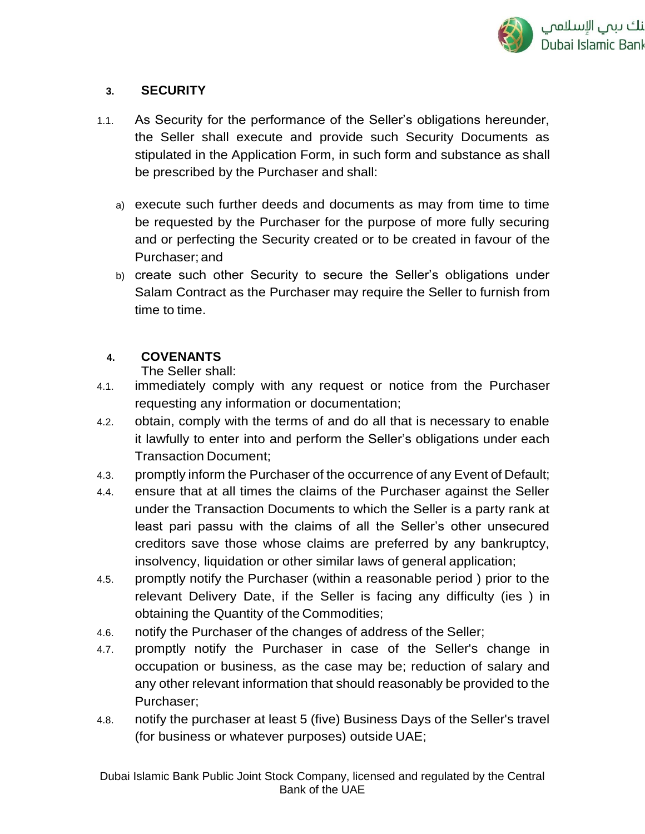

## **3. SECURITY**

- 1.1. As Security for the performance of the Seller's obligations hereunder, the Seller shall execute and provide such Security Documents as stipulated in the Application Form, in such form and substance as shall be prescribed by the Purchaser and shall:
	- a) execute such further deeds and documents as may from time to time be requested by the Purchaser for the purpose of more fully securing and or perfecting the Security created or to be created in favour of the Purchaser; and
	- b) create such other Security to secure the Seller's obligations under Salam Contract as the Purchaser may require the Seller to furnish from time to time.

## **4. COVENANTS**

The Seller shall:

- 4.1. immediately comply with any request or notice from the Purchaser requesting any information or documentation;
- 4.2. obtain, comply with the terms of and do all that is necessary to enable it lawfully to enter into and perform the Seller's obligations under each Transaction Document;
- 4.3. promptly inform the Purchaser of the occurrence of any Event of Default;
- 4.4. ensure that at all times the claims of the Purchaser against the Seller under the Transaction Documents to which the Seller is a party rank at least pari passu with the claims of all the Seller's other unsecured creditors save those whose claims are preferred by any bankruptcy, insolvency, liquidation or other similar laws of general application;
- 4.5. promptly notify the Purchaser (within a reasonable period ) prior to the relevant Delivery Date, if the Seller is facing any difficulty (ies ) in obtaining the Quantity of the Commodities;
- 4.6. notify the Purchaser of the changes of address of the Seller;
- 4.7. promptly notify the Purchaser in case of the Seller's change in occupation or business, as the case may be; reduction of salary and any other relevant information that should reasonably be provided to the Purchaser;
- 4.8. notify the purchaser at least 5 (five) Business Days of the Seller's travel (for business or whatever purposes) outside UAE;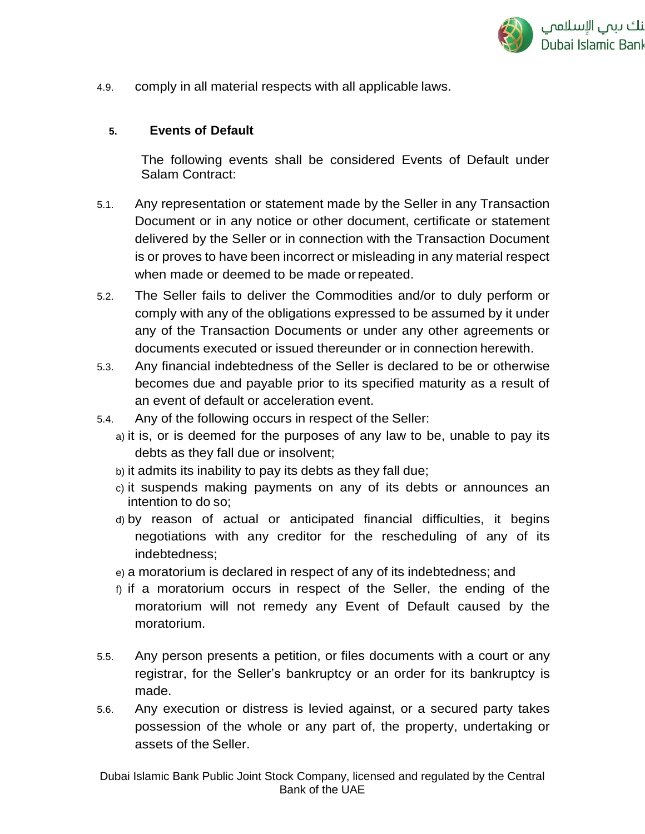

4.9. comply in all material respects with all applicable laws.

#### **5. Events of Default**

The following events shall be considered Events of Default under Salam Contract:

- 5.1. Any representation or statement made by the Seller in any Transaction Document or in any notice or other document, certificate or statement delivered by the Seller or in connection with the Transaction Document is or proves to have been incorrect or misleading in any material respect when made or deemed to be made orrepeated.
- 5.2. The Seller fails to deliver the Commodities and/or to duly perform or comply with any of the obligations expressed to be assumed by it under any of the Transaction Documents or under any other agreements or documents executed or issued thereunder or in connection herewith.
- 5.3. Any financial indebtedness of the Seller is declared to be or otherwise becomes due and payable prior to its specified maturity as a result of an event of default or acceleration event.
- 5.4. Any of the following occurs in respect of the Seller:
	- a) it is, or is deemed for the purposes of any law to be, unable to pay its debts as they fall due or insolvent;
	- b) it admits its inability to pay its debts as they fall due;
	- c) it suspends making payments on any of its debts or announces an intention to do so;
	- d) by reason of actual or anticipated financial difficulties, it begins negotiations with any creditor for the rescheduling of any of its indebtedness;
	- e) a moratorium is declared in respect of any of its indebtedness; and
	- f) if a moratorium occurs in respect of the Seller, the ending of the moratorium will not remedy any Event of Default caused by the moratorium.
- 5.5. Any person presents a petition, or files documents with a court or any registrar, for the Seller's bankruptcy or an order for its bankruptcy is made.
- 5.6. Any execution or distress is levied against, or a secured party takes possession of the whole or any part of, the property, undertaking or assets of the Seller.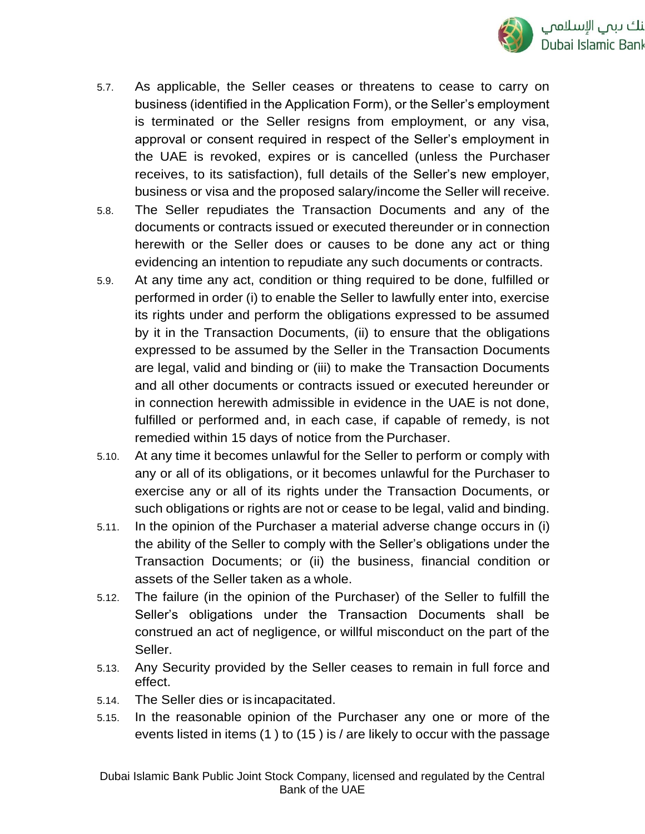

- 5.7. As applicable, the Seller ceases or threatens to cease to carry on business (identified in the Application Form), or the Seller's employment is terminated or the Seller resigns from employment, or any visa, approval or consent required in respect of the Seller's employment in the UAE is revoked, expires or is cancelled (unless the Purchaser receives, to its satisfaction), full details of the Seller's new employer, business or visa and the proposed salary/income the Seller will receive.
- 5.8. The Seller repudiates the Transaction Documents and any of the documents or contracts issued or executed thereunder or in connection herewith or the Seller does or causes to be done any act or thing evidencing an intention to repudiate any such documents or contracts.
- 5.9. At any time any act, condition or thing required to be done, fulfilled or performed in order (i) to enable the Seller to lawfully enter into, exercise its rights under and perform the obligations expressed to be assumed by it in the Transaction Documents, (ii) to ensure that the obligations expressed to be assumed by the Seller in the Transaction Documents are legal, valid and binding or (iii) to make the Transaction Documents and all other documents or contracts issued or executed hereunder or in connection herewith admissible in evidence in the UAE is not done, fulfilled or performed and, in each case, if capable of remedy, is not remedied within 15 days of notice from the Purchaser.
- 5.10. At any time it becomes unlawful for the Seller to perform or comply with any or all of its obligations, or it becomes unlawful for the Purchaser to exercise any or all of its rights under the Transaction Documents, or such obligations or rights are not or cease to be legal, valid and binding.
- 5.11. In the opinion of the Purchaser a material adverse change occurs in (i) the ability of the Seller to comply with the Seller's obligations under the Transaction Documents; or (ii) the business, financial condition or assets of the Seller taken as a whole.
- 5.12. The failure (in the opinion of the Purchaser) of the Seller to fulfill the Seller's obligations under the Transaction Documents shall be construed an act of negligence, or willful misconduct on the part of the Seller.
- 5.13. Any Security provided by the Seller ceases to remain in full force and effect.
- 5.14. The Seller dies or is incapacitated.
- 5.15. In the reasonable opinion of the Purchaser any one or more of the events listed in items (1 ) to (15 ) is / are likely to occur with the passage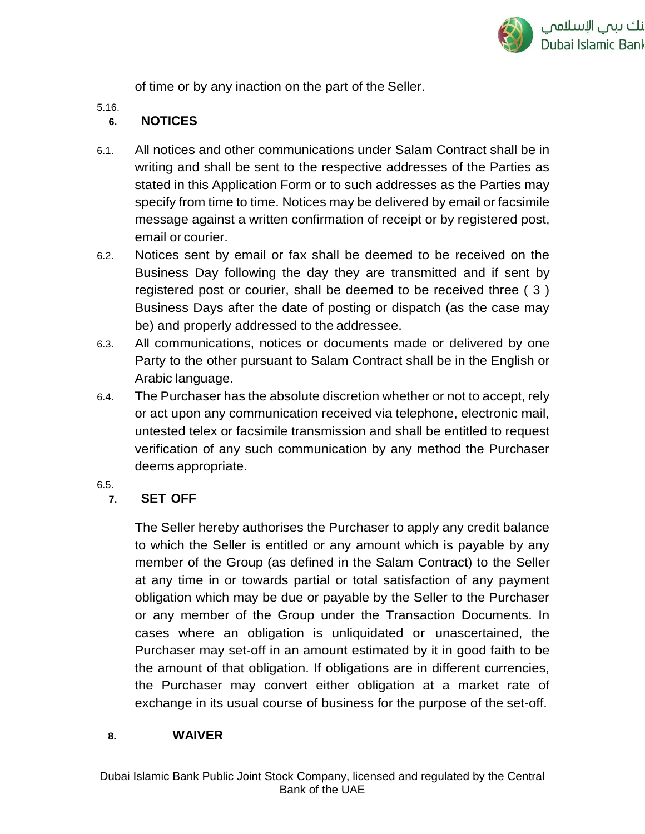

of time or by any inaction on the part of the Seller.

5.16.

### **6. NOTICES**

- 6.1. All notices and other communications under Salam Contract shall be in writing and shall be sent to the respective addresses of the Parties as stated in this Application Form or to such addresses as the Parties may specify from time to time. Notices may be delivered by email or facsimile message against a written confirmation of receipt or by registered post, email or courier.
- 6.2. Notices sent by email or fax shall be deemed to be received on the Business Day following the day they are transmitted and if sent by registered post or courier, shall be deemed to be received three ( 3 ) Business Days after the date of posting or dispatch (as the case may be) and properly addressed to the addressee.
- 6.3. All communications, notices or documents made or delivered by one Party to the other pursuant to Salam Contract shall be in the English or Arabic language.
- 6.4. The Purchaser has the absolute discretion whether or not to accept, rely or act upon any communication received via telephone, electronic mail, untested telex or facsimile transmission and shall be entitled to request verification of any such communication by any method the Purchaser deems appropriate.
- 6.5.

## **7. SET OFF**

The Seller hereby authorises the Purchaser to apply any credit balance to which the Seller is entitled or any amount which is payable by any member of the Group (as defined in the Salam Contract) to the Seller at any time in or towards partial or total satisfaction of any payment obligation which may be due or payable by the Seller to the Purchaser or any member of the Group under the Transaction Documents. In cases where an obligation is unliquidated or unascertained, the Purchaser may set-off in an amount estimated by it in good faith to be the amount of that obligation. If obligations are in different currencies, the Purchaser may convert either obligation at a market rate of exchange in its usual course of business for the purpose of the set-off.

### **8. WAIVER**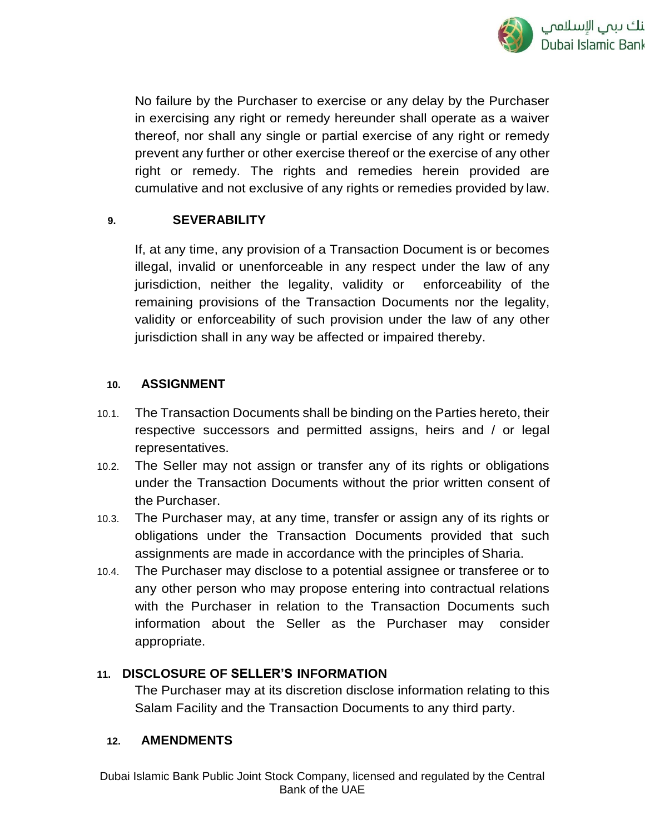

No failure by the Purchaser to exercise or any delay by the Purchaser in exercising any right or remedy hereunder shall operate as a waiver thereof, nor shall any single or partial exercise of any right or remedy prevent any further or other exercise thereof or the exercise of any other right or remedy. The rights and remedies herein provided are cumulative and not exclusive of any rights or remedies provided by law.

### **9. SEVERABILITY**

If, at any time, any provision of a Transaction Document is or becomes illegal, invalid or unenforceable in any respect under the law of any jurisdiction, neither the legality, validity or enforceability of the remaining provisions of the Transaction Documents nor the legality, validity or enforceability of such provision under the law of any other jurisdiction shall in any way be affected or impaired thereby.

### **10. ASSIGNMENT**

- 10.1. The Transaction Documents shall be binding on the Parties hereto, their respective successors and permitted assigns, heirs and / or legal representatives.
- 10.2. The Seller may not assign or transfer any of its rights or obligations under the Transaction Documents without the prior written consent of the Purchaser.
- 10.3. The Purchaser may, at any time, transfer or assign any of its rights or obligations under the Transaction Documents provided that such assignments are made in accordance with the principles of Sharia.
- 10.4. The Purchaser may disclose to a potential assignee or transferee or to any other person who may propose entering into contractual relations with the Purchaser in relation to the Transaction Documents such information about the Seller as the Purchaser may consider appropriate.

### **11. DISCLOSURE OF SELLER'S INFORMATION**

The Purchaser may at its discretion disclose information relating to this Salam Facility and the Transaction Documents to any third party.

### **12. AMENDMENTS**